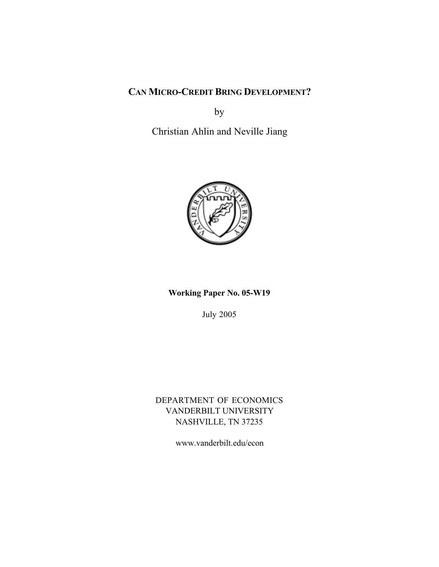## **CAN MICRO-CREDIT BRING DEVELOPMENT?**

by

Christian Ahlin and Neville Jiang



**Working Paper No. 05-W19**

July 2005

DEPARTMENT OF ECONOMICS VANDERBILT UNIVERSITY NASHVILLE, TN 37235

www.vanderbilt.edu/econ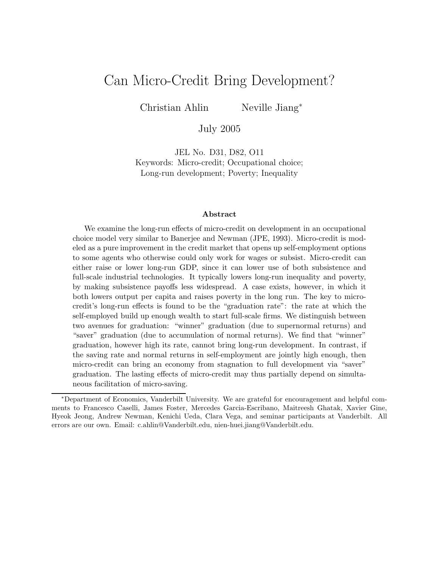# Can Micro-Credit Bring Development?

Christian Ahlin Neville Jiang<sup>∗</sup>

July 2005

JEL No. D31, D82, O11 Keywords: Micro-credit; Occupational choice; Long-run development; Poverty; Inequality

#### **Abstract**

We examine the long-run effects of micro-credit on development in an occupational choice model very similar to Banerjee and Newman (JPE, 1993). Micro-credit is modeled as a pure improvement in the credit market that opens up self-employment options to some agents who otherwise could only work for wages or subsist. Micro-credit can either raise or lower long-run GDP, since it can lower use of both subsistence and full-scale industrial technologies. It typically lowers long-run inequality and poverty, by making subsistence payoffs less widespread. A case exists, however, in which it both lowers output per capita and raises poverty in the long run. The key to microcredit's long-run effects is found to be the "graduation rate": the rate at which the self-employed build up enough wealth to start full-scale firms. We distinguish between two avenues for graduation: "winner" graduation (due to supernormal returns) and "saver" graduation (due to accumulation of normal returns). We find that "winner" graduation, however high its rate, cannot bring long-run development. In contrast, if the saving rate and normal returns in self-employment are jointly high enough, then micro-credit can bring an economy from stagnation to full development via "saver" graduation. The lasting effects of micro-credit may thus partially depend on simultaneous facilitation of micro-saving.

<sup>∗</sup>Department of Economics, Vanderbilt University. We are grateful for encouragement and helpful comments to Francesco Caselli, James Foster, Mercedes Garcia-Escribano, Maitreesh Ghatak, Xavier Gine, Hyeok Jeong, Andrew Newman, Kenichi Ueda, Clara Vega, and seminar participants at Vanderbilt. All errors are our own. Email: c.ahlin@Vanderbilt.edu, nien-huei.jiang@Vanderbilt.edu.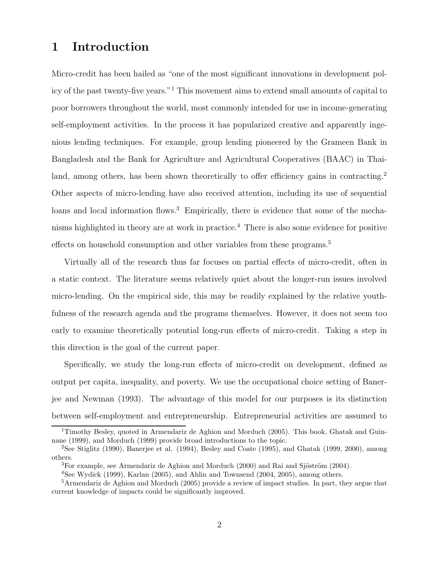## **1 Introduction**

Micro-credit has been hailed as "one of the most significant innovations in development policy of the past twenty-five years."<sup>1</sup> This movement aims to extend small amounts of capital to poor borrowers throughout the world, most commonly intended for use in income-generating self-employment activities. In the process it has popularized creative and apparently ingenious lending techniques. For example, group lending pioneered by the Grameen Bank in Bangladesh and the Bank for Agriculture and Agricultural Cooperatives (BAAC) in Thailand, among others, has been shown theoretically to offer efficiency gains in contracting.<sup>2</sup> Other aspects of micro-lending have also received attention, including its use of sequential loans and local information flows.<sup>3</sup> Empirically, there is evidence that some of the mechanisms highlighted in theory are at work in practice.<sup>4</sup> There is also some evidence for positive effects on household consumption and other variables from these programs.<sup>5</sup>

Virtually all of the research thus far focuses on partial effects of micro-credit, often in a static context. The literature seems relatively quiet about the longer-run issues involved micro-lending. On the empirical side, this may be readily explained by the relative youthfulness of the research agenda and the programs themselves. However, it does not seem too early to examine theoretically potential long-run effects of micro-credit. Taking a step in this direction is the goal of the current paper.

Specifically, we study the long-run effects of micro-credit on development, defined as output per capita, inequality, and poverty. We use the occupational choice setting of Banerjee and Newman (1993). The advantage of this model for our purposes is its distinction between self-employment and entrepreneurship. Entrepreneurial activities are assumed to

<sup>&</sup>lt;sup>1</sup>Timothy Besley, quoted in Armendariz de Aghion and Morduch (2005). This book, Ghatak and Guinnane (1999), and Morduch (1999) provide broad introductions to the topic.

<sup>2</sup>See Stiglitz (1990), Banerjee et al. (1994), Besley and Coate (1995), and Ghatak (1999, 2000), among others.

 ${}^{3}$ For example, see Armendariz de Aghion and Morduch (2000) and Rai and Sjöström (2004).

<sup>4</sup>See Wydick (1999), Karlan (2005), and Ahlin and Townsend (2004, 2005), among others.

<sup>5</sup>Armendariz de Aghion and Morduch (2005) provide a review of impact studies. In part, they argue that current knowledge of impacts could be significantly improved.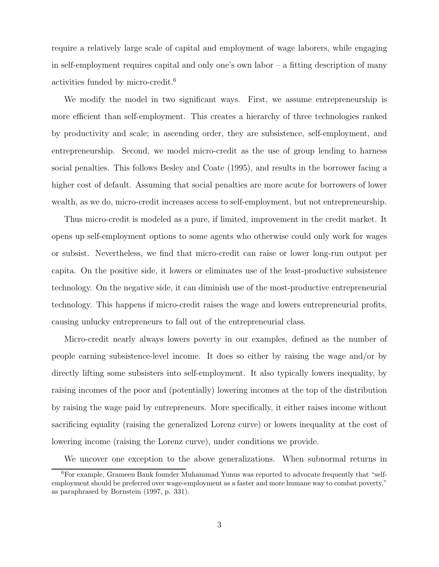require a relatively large scale of capital and employment of wage laborers, while engaging in self-employment requires capital and only one's own labor  $-$  a fitting description of many activities funded by micro-credit.<sup>6</sup>

We modify the model in two significant ways. First, we assume entrepreneurship is more efficient than self-employment. This creates a hierarchy of three technologies ranked by productivity and scale; in ascending order, they are subsistence, self-employment, and entrepreneurship. Second, we model micro-credit as the use of group lending to harness social penalties. This follows Besley and Coate (1995), and results in the borrower facing a higher cost of default. Assuming that social penalties are more acute for borrowers of lower wealth, as we do, micro-credit increases access to self-employment, but not entrepreneurship.

Thus micro-credit is modeled as a pure, if limited, improvement in the credit market. It opens up self-employment options to some agents who otherwise could only work for wages or subsist. Nevertheless, we find that micro-credit can raise or lower long-run output per capita. On the positive side, it lowers or eliminates use of the least-productive subsistence technology. On the negative side, it can diminish use of the most-productive entrepreneurial technology. This happens if micro-credit raises the wage and lowers entrepreneurial profits, causing unlucky entrepreneurs to fall out of the entrepreneurial class.

Micro-credit nearly always lowers poverty in our examples, defined as the number of people earning subsistence-level income. It does so either by raising the wage and/or by directly lifting some subsisters into self-employment. It also typically lowers inequality, by raising incomes of the poor and (potentially) lowering incomes at the top of the distribution by raising the wage paid by entrepreneurs. More specifically, it either raises income without sacrificing equality (raising the generalized Lorenz curve) or lowers inequality at the cost of lowering income (raising the Lorenz curve), under conditions we provide.

We uncover one exception to the above generalizations. When subnormal returns in

<sup>6</sup>For example, Grameen Bank founder Muhammad Yunus was reported to advocate frequently that "selfemployment should be preferred over wage-employment as a faster and more humane way to combat poverty," as paraphrased by Bornstein (1997, p. 331).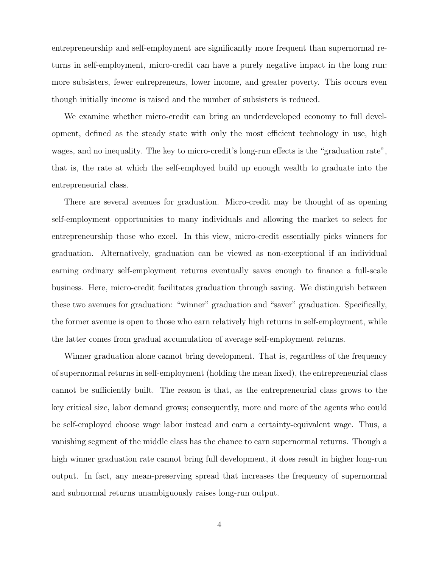entrepreneurship and self-employment are significantly more frequent than supernormal returns in self-employment, micro-credit can have a purely negative impact in the long run: more subsisters, fewer entrepreneurs, lower income, and greater poverty. This occurs even though initially income is raised and the number of subsisters is reduced.

We examine whether micro-credit can bring an underdeveloped economy to full development, defined as the steady state with only the most efficient technology in use, high wages, and no inequality. The key to micro-credit's long-run effects is the "graduation rate", that is, the rate at which the self-employed build up enough wealth to graduate into the entrepreneurial class.

There are several avenues for graduation. Micro-credit may be thought of as opening self-employment opportunities to many individuals and allowing the market to select for entrepreneurship those who excel. In this view, micro-credit essentially picks winners for graduation. Alternatively, graduation can be viewed as non-exceptional if an individual earning ordinary self-employment returns eventually saves enough to finance a full-scale business. Here, micro-credit facilitates graduation through saving. We distinguish between these two avenues for graduation: "winner" graduation and "saver" graduation. Specifically, the former avenue is open to those who earn relatively high returns in self-employment, while the latter comes from gradual accumulation of average self-employment returns.

Winner graduation alone cannot bring development. That is, regardless of the frequency of supernormal returns in self-employment (holding the mean fixed), the entrepreneurial class cannot be sufficiently built. The reason is that, as the entrepreneurial class grows to the key critical size, labor demand grows; consequently, more and more of the agents who could be self-employed choose wage labor instead and earn a certainty-equivalent wage. Thus, a vanishing segment of the middle class has the chance to earn supernormal returns. Though a high winner graduation rate cannot bring full development, it does result in higher long-run output. In fact, any mean-preserving spread that increases the frequency of supernormal and subnormal returns unambiguously raises long-run output.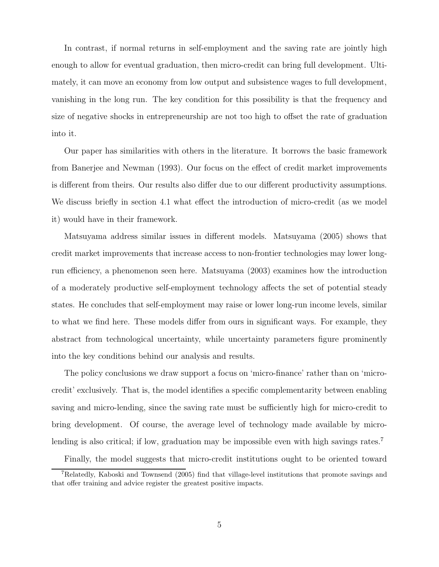In contrast, if normal returns in self-employment and the saving rate are jointly high enough to allow for eventual graduation, then micro-credit can bring full development. Ultimately, it can move an economy from low output and subsistence wages to full development, vanishing in the long run. The key condition for this possibility is that the frequency and size of negative shocks in entrepreneurship are not too high to offset the rate of graduation into it.

Our paper has similarities with others in the literature. It borrows the basic framework from Banerjee and Newman (1993). Our focus on the effect of credit market improvements is different from theirs. Our results also differ due to our different productivity assumptions. We discuss briefly in section 4.1 what effect the introduction of micro-credit (as we model it) would have in their framework.

Matsuyama address similar issues in different models. Matsuyama (2005) shows that credit market improvements that increase access to non-frontier technologies may lower longrun efficiency, a phenomenon seen here. Matsuyama (2003) examines how the introduction of a moderately productive self-employment technology affects the set of potential steady states. He concludes that self-employment may raise or lower long-run income levels, similar to what we find here. These models differ from ours in significant ways. For example, they abstract from technological uncertainty, while uncertainty parameters figure prominently into the key conditions behind our analysis and results.

The policy conclusions we draw support a focus on 'micro-finance' rather than on 'microcredit' exclusively. That is, the model identifies a specific complementarity between enabling saving and micro-lending, since the saving rate must be sufficiently high for micro-credit to bring development. Of course, the average level of technology made available by microlending is also critical; if low, graduation may be impossible even with high savings rates.<sup>7</sup>

Finally, the model suggests that micro-credit institutions ought to be oriented toward

<sup>7</sup>Relatedly, Kaboski and Townsend (2005) find that village-level institutions that promote savings and that offer training and advice register the greatest positive impacts.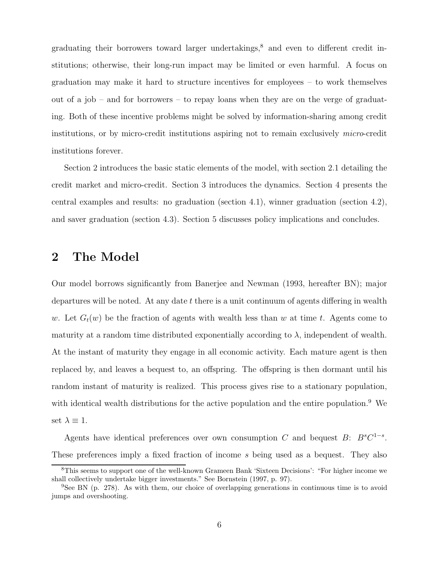graduating their borrowers toward larger undertakings, $8$  and even to different credit institutions; otherwise, their long-run impact may be limited or even harmful. A focus on graduation may make it hard to structure incentives for employees – to work themselves out of a job – and for borrowers – to repay loans when they are on the verge of graduating. Both of these incentive problems might be solved by information-sharing among credit institutions, or by micro-credit institutions aspiring not to remain exclusively micro-credit institutions forever.

Section 2 introduces the basic static elements of the model, with section 2.1 detailing the credit market and micro-credit. Section 3 introduces the dynamics. Section 4 presents the central examples and results: no graduation (section 4.1), winner graduation (section 4.2), and saver graduation (section 4.3). Section 5 discusses policy implications and concludes.

## **2 The Model**

Our model borrows significantly from Banerjee and Newman (1993, hereafter BN); major departures will be noted. At any date  $t$  there is a unit continuum of agents differing in wealth w. Let  $G_t(w)$  be the fraction of agents with wealth less than w at time t. Agents come to maturity at a random time distributed exponentially according to  $\lambda$ , independent of wealth. At the instant of maturity they engage in all economic activity. Each mature agent is then replaced by, and leaves a bequest to, an offspring. The offspring is then dormant until his random instant of maturity is realized. This process gives rise to a stationary population, with identical wealth distributions for the active population and the entire population.<sup>9</sup> We set  $\lambda \equiv 1$ .

Agents have identical preferences over own consumption C and bequest B:  $B^sC^{1-s}$ . These preferences imply a fixed fraction of income s being used as a bequest. They also

<sup>8</sup>This seems to support one of the well-known Grameen Bank 'Sixteen Decisions': "For higher income we shall collectively undertake bigger investments." See Bornstein (1997, p. 97).

<sup>&</sup>lt;sup>9</sup>See BN (p. 278). As with them, our choice of overlapping generations in continuous time is to avoid jumps and overshooting.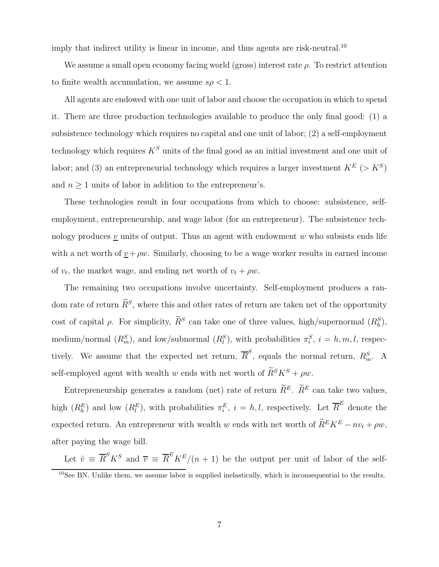imply that indirect utility is linear in income, and thus agents are risk-neutral.<sup>10</sup>

We assume a small open economy facing world (gross) interest rate  $\rho$ . To restrict attention to finite wealth accumulation, we assume  $s\rho < 1$ .

All agents are endowed with one unit of labor and choose the occupation in which to spend it. There are three production technologies available to produce the only final good: (1) a subsistence technology which requires no capital and one unit of labor; (2) a self-employment technology which requires  $K^S$  units of the final good as an initial investment and one unit of labor; and (3) an entrepreneurial technology which requires a larger investment  $K^E$  (>  $K^S$ ) and  $n\geq 1$  units of labor in addition to the entrepreneur's.

These technologies result in four occupations from which to choose: subsistence, selfemployment, entrepreneurship, and wage labor (for an entrepreneur). The subsistence technology produces  $v$  units of output. Thus an agent with endowment  $w$  who subsists ends life with a net worth of  $v + \rho w$ . Similarly, choosing to be a wage worker results in earned income of  $v_t$ , the market wage, and ending net worth of  $v_t + \rho w$ .

The remaining two occupations involve uncertainty. Self-employment produces a random rate of return  $\widetilde{R}^S$ , where this and other rates of return are taken net of the opportunity cost of capital  $\rho$ . For simplicity,  $\tilde{R}^S$  can take one of three values, high/supernormal  $(R_h^S)$ , medium/normal  $(R_m^S)$ , and low/subnormal  $(R_l^S)$ , with probabilities  $\pi_i^S$ ,  $i = h, m, l$ , respectively. We assume that the expected net return,  $\overline{R}^S$ , equals the normal return,  $R_m^S$ . A self-employed agent with wealth w ends with net worth of  $\widetilde{R}^S K^S + \rho w$ .

Entrepreneurship generates a random (net) rate of return  $\widetilde{R}^E$ .  $\widetilde{R}^E$  can take two values, high  $(R_h^E)$  and low  $(R_l^E)$ , with probabilities  $\pi_i^E$ ,  $i = h, l$ , respectively. Let  $\overline{R}^E$  denote the expected return. An entrepreneur with wealth w ends with net worth of  $\widetilde{R}^E K^E - n v_t + \rho w$ , after paying the wage bill.

Let  $\hat{v} \equiv \overline{R}^S K^S$  and  $\overline{v} \equiv \overline{R}^E K^E/(n+1)$  be the output per unit of labor of the self- $10$ See BN. Unlike them, we assume labor is supplied inelastically, which is inconsequential to the results.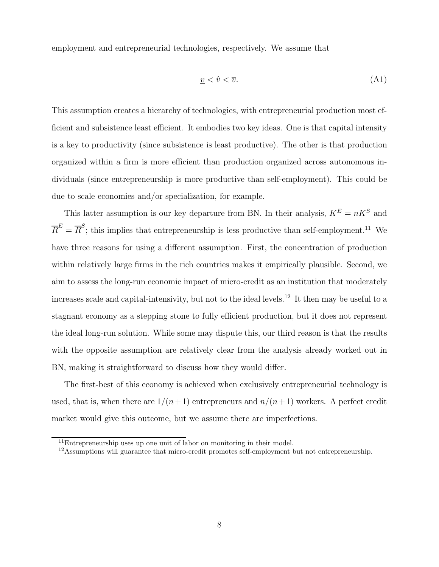employment and entrepreneurial technologies, respectively. We assume that

$$
\underline{v} < \hat{v} < \overline{v}.\tag{A1}
$$

This assumption creates a hierarchy of technologies, with entrepreneurial production most efficient and subsistence least efficient. It embodies two key ideas. One is that capital intensity is a key to productivity (since subsistence is least productive). The other is that production organized within a firm is more efficient than production organized across autonomous individuals (since entrepreneurship is more productive than self-employment). This could be due to scale economies and/or specialization, for example.

This latter assumption is our key departure from BN. In their analysis,  $K^{E} = nK^{S}$  and  $\overline{R}^E = \overline{R}^S$ ; this implies that entrepreneurship is less productive than self-employment.<sup>11</sup> We have three reasons for using a different assumption. First, the concentration of production within relatively large firms in the rich countries makes it empirically plausible. Second, we aim to assess the long-run economic impact of micro-credit as an institution that moderately increases scale and capital-intensivity, but not to the ideal levels.<sup>12</sup> It then may be useful to a stagnant economy as a stepping stone to fully efficient production, but it does not represent the ideal long-run solution. While some may dispute this, our third reason is that the results with the opposite assumption are relatively clear from the analysis already worked out in BN, making it straightforward to discuss how they would differ.

The first-best of this economy is achieved when exclusively entrepreneurial technology is used, that is, when there are  $1/(n+1)$  entrepreneurs and  $n/(n+1)$  workers. A perfect credit market would give this outcome, but we assume there are imperfections.

 $11$ Entrepreneurship uses up one unit of labor on monitoring in their model.

 $12$ Assumptions will guarantee that micro-credit promotes self-employment but not entrepreneurship.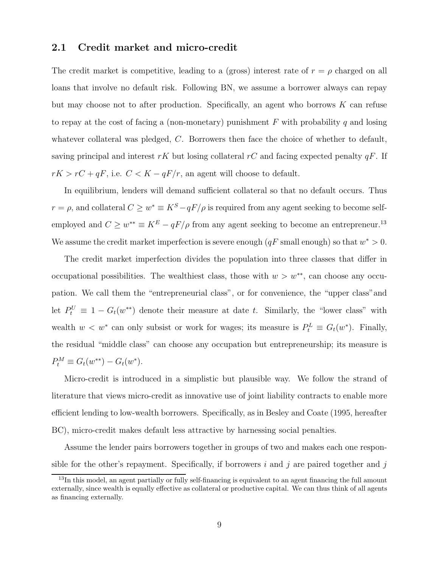#### **2.1 Credit market and micro-credit**

The credit market is competitive, leading to a (gross) interest rate of  $r = \rho$  charged on all loans that involve no default risk. Following BN, we assume a borrower always can repay but may choose not to after production. Specifically, an agent who borrows K can refuse to repay at the cost of facing a (non-monetary) punishment  $F$  with probability q and losing whatever collateral was pledged, C. Borrowers then face the choice of whether to default, saving principal and interest rK but losing collateral rC and facing expected penalty  $qF$ . If  $rK > rC + qF$ , i.e.  $C < K - qF/r$ , an agent will choose to default.

In equilibrium, lenders will demand sufficient collateral so that no default occurs. Thus  $r = \rho$ , and collateral  $C \geq w^* \equiv K^S - qF/\rho$  is required from any agent seeking to become selfemployed and  $C \geq w^{**} \equiv K^E - qF/\rho$  from any agent seeking to become an entrepreneur.<sup>13</sup> We assume the credit market imperfection is severe enough  $(qF \text{ small enough})$  so that  $w^* > 0$ .

The credit market imperfection divides the population into three classes that differ in occupational possibilities. The wealthiest class, those with  $w>w^{**}$ , can choose any occupation. We call them the "entrepreneurial class", or for convenience, the "upper class"and let  $P_t^U \equiv 1 - G_t(w^{**})$  denote their measure at date t. Similarly, the "lower class" with wealth  $w < w^*$  can only subsist or work for wages; its measure is  $P_t^L \equiv G_t(w^*)$ . Finally, the residual "middle class" can choose any occupation but entrepreneurship; its measure is  $P_t^M \equiv G_t(w^{**}) - G_t(w^*).$ 

Micro-credit is introduced in a simplistic but plausible way. We follow the strand of literature that views micro-credit as innovative use of joint liability contracts to enable more efficient lending to low-wealth borrowers. Specifically, as in Besley and Coate (1995, hereafter BC), micro-credit makes default less attractive by harnessing social penalties.

Assume the lender pairs borrowers together in groups of two and makes each one responsible for the other's repayment. Specifically, if borrowers  $i$  and  $j$  are paired together and  $j$ 

 $13$ In this model, an agent partially or fully self-financing is equivalent to an agent financing the full amount externally, since wealth is equally effective as collateral or productive capital. We can thus think of all agents as financing externally.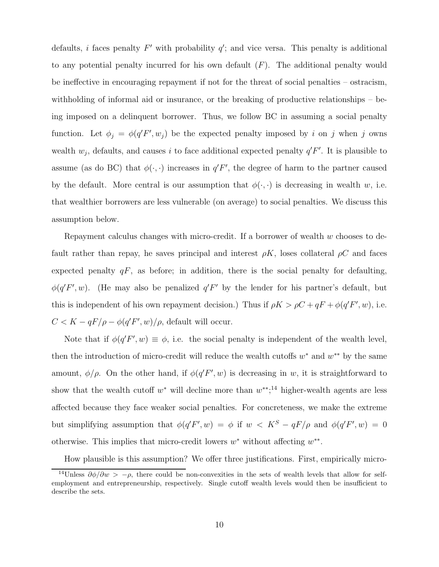defaults, *i* faces penalty  $F'$  with probability  $q'$ ; and vice versa. This penalty is additional to any potential penalty incurred for his own default  $(F)$ . The additional penalty would be ineffective in encouraging repayment if not for the threat of social penalties – ostracism, withholding of informal aid or insurance, or the breaking of productive relationships – being imposed on a delinquent borrower. Thus, we follow BC in assuming a social penalty function. Let  $\phi_j = \phi(q'F', w_j)$  be the expected penalty imposed by i on j when j owns wealth  $w_j$ , defaults, and causes i to face additional expected penalty  $q'F'$ . It is plausible to assume (as do BC) that  $\phi(\cdot, \cdot)$  increases in  $q'F'$ , the degree of harm to the partner caused by the default. More central is our assumption that  $\phi(\cdot, \cdot)$  is decreasing in wealth w, i.e. that wealthier borrowers are less vulnerable (on average) to social penalties. We discuss this assumption below.

Repayment calculus changes with micro-credit. If a borrower of wealth  $w$  chooses to default rather than repay, he saves principal and interest  $\rho K$ , loses collateral  $\rho C$  and faces expected penalty  $qF$ , as before; in addition, there is the social penalty for defaulting,  $\phi(q'F', w)$ . (He may also be penalized  $q'F'$  by the lender for his partner's default, but this is independent of his own repayment decision.) Thus if  $\rho K > \rho C + qF + \phi(q'F', w)$ , i.e.  $C < K - qF/\rho - \phi(q'F', w)/\rho$ , default will occur.

Note that if  $\phi(q'F', w) \equiv \phi$ , i.e. the social penalty is independent of the wealth level, then the introduction of micro-credit will reduce the wealth cutoffs  $w^*$  and  $w^{**}$  by the same amount,  $\phi/\rho$ . On the other hand, if  $\phi(q'F', w)$  is decreasing in w, it is straightforward to show that the wealth cutoff  $w^*$  will decline more than  $w^{**}$ ;<sup>14</sup> higher-wealth agents are less affected because they face weaker social penalties. For concreteness, we make the extreme but simplifying assumption that  $\phi(q'F', w) = \phi$  if  $w < K^S - qF/\rho$  and  $\phi(q'F', w) = 0$ otherwise. This implies that micro-credit lowers  $w^*$  without affecting  $w^{**}$ .

How plausible is this assumption? We offer three justifications. First, empirically micro-

<sup>&</sup>lt;sup>14</sup>Unless  $\partial \phi / \partial w > -\rho$ , there could be non-convexities in the sets of wealth levels that allow for selfemployment and entrepreneurship, respectively. Single cutoff wealth levels would then be insufficient to describe the sets.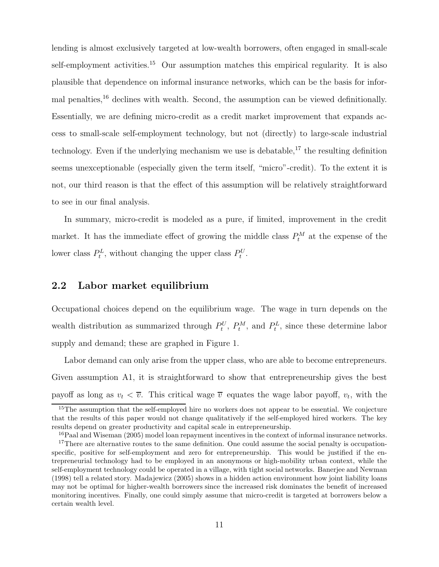lending is almost exclusively targeted at low-wealth borrowers, often engaged in small-scale self-employment activities.<sup>15</sup> Our assumption matches this empirical regularity. It is also plausible that dependence on informal insurance networks, which can be the basis for informal penalties,<sup>16</sup> declines with wealth. Second, the assumption can be viewed definitionally. Essentially, we are defining micro-credit as a credit market improvement that expands access to small-scale self-employment technology, but not (directly) to large-scale industrial technology. Even if the underlying mechanism we use is debatable,  $17$  the resulting definition seems unexceptionable (especially given the term itself, "micro"-credit). To the extent it is not, our third reason is that the effect of this assumption will be relatively straightforward to see in our final analysis.

In summary, micro-credit is modeled as a pure, if limited, improvement in the credit market. It has the immediate effect of growing the middle class  $P_t^M$  at the expense of the lower class  $P_t^L$ , without changing the upper class  $P_t^U$ .

#### **2.2 Labor market equilibrium**

Occupational choices depend on the equilibrium wage. The wage in turn depends on the wealth distribution as summarized through  $P_t^U$ ,  $P_t^M$ , and  $P_t^L$ , since these determine labor supply and demand; these are graphed in Figure 1.

Labor demand can only arise from the upper class, who are able to become entrepreneurs. Given assumption A1, it is straightforward to show that entrepreneurship gives the best payoff as long as  $v_t < \overline{v}$ . This critical wage  $\overline{v}$  equates the wage labor payoff,  $v_t$ , with the

<sup>&</sup>lt;sup>15</sup>The assumption that the self-employed hire no workers does not appear to be essential. We conjecture that the results of this paper would not change qualitatively if the self-employed hired workers. The key results depend on greater productivity and capital scale in entrepreneurship.

<sup>&</sup>lt;sup>16</sup>Paal and Wiseman (2005) model loan repayment incentives in the context of informal insurance networks.

<sup>&</sup>lt;sup>17</sup>There are alternative routes to the same definition. One could assume the social penalty is occupationspecific, positive for self-employment and zero for entrepreneurship. This would be justified if the entrepreneurial technology had to be employed in an anonymous or high-mobility urban context, while the self-employment technology could be operated in a village, with tight social networks. Banerjee and Newman (1998) tell a related story. Madajewicz (2005) shows in a hidden action environment how joint liability loans may not be optimal for higher-wealth borrowers since the increased risk dominates the benefit of increased monitoring incentives. Finally, one could simply assume that micro-credit is targeted at borrowers below a certain wealth level.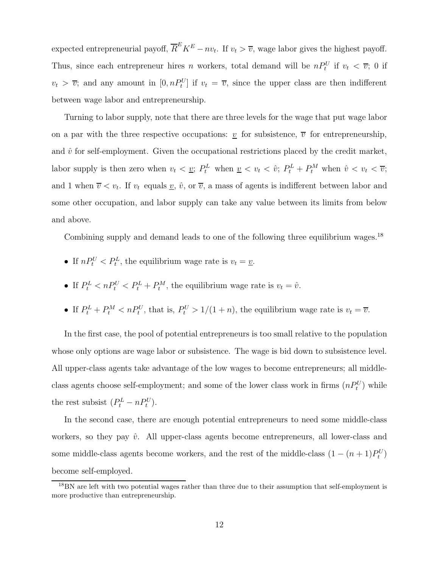expected entrepreneurial payoff,  $\overline{R}^E K^E - n v_t$ . If  $v_t > \overline{v}$ , wage labor gives the highest payoff. Thus, since each entrepreneur hires n workers, total demand will be  $nP_t^U$  if  $v_t < \overline{v}$ ; 0 if  $v_t > \overline{v}$ ; and any amount in  $[0, nP_t^U]$  if  $v_t = \overline{v}$ , since the upper class are then indifferent between wage labor and entrepreneurship.

Turning to labor supply, note that there are three levels for the wage that put wage labor on a par with the three respective occupations:  $\underline{v}$  for subsistence,  $\overline{v}$  for entrepreneurship, and  $\hat{v}$  for self-employment. Given the occupational restrictions placed by the credit market, labor supply is then zero when  $v_t < v_t$ ;  $P_t^L$  when  $v_t < v_t < \hat{v}$ ;  $P_t^L + P_t^M$  when  $\hat{v} < v_t < \overline{v}$ ; and 1 when  $\overline{v} < v_t$ . If  $v_t$  equals  $\underline{v}$ ,  $\hat{v}$ , or  $\overline{v}$ , a mass of agents is indifferent between labor and some other occupation, and labor supply can take any value between its limits from below and above.

Combining supply and demand leads to one of the following three equilibrium wages.<sup>18</sup>

- If  $nP_t^U < P_t^L$ , the equilibrium wage rate is  $v_t = \underline{v}$ .
- If  $P_t^L < nP_t^U < P_t^L + P_t^M$ , the equilibrium wage rate is  $v_t = \hat{v}$ .
- If  $P_t^L + P_t^M < nP_t^U$ , that is,  $P_t^U > 1/(1 + n)$ , the equilibrium wage rate is  $v_t = \overline{v}$ .

In the first case, the pool of potential entrepreneurs is too small relative to the population whose only options are wage labor or subsistence. The wage is bid down to subsistence level. All upper-class agents take advantage of the low wages to become entrepreneurs; all middleclass agents choose self-employment; and some of the lower class work in firms  $(nP_t^U)$  while the rest subsist  $(P_t^L - nP_t^U)$ .

In the second case, there are enough potential entrepreneurs to need some middle-class workers, so they pay  $\hat{v}$ . All upper-class agents become entrepreneurs, all lower-class and some middle-class agents become workers, and the rest of the middle-class  $(1 - (n + 1)P_t^U)$ become self-employed.

<sup>&</sup>lt;sup>18</sup>BN are left with two potential wages rather than three due to their assumption that self-employment is more productive than entrepreneurship.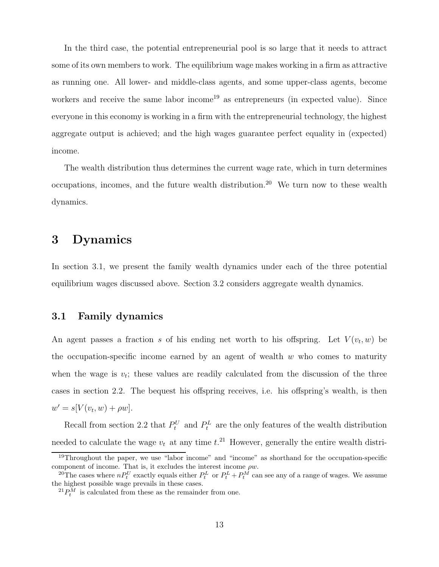In the third case, the potential entrepreneurial pool is so large that it needs to attract some of its own members to work. The equilibrium wage makes working in a firm as attractive as running one. All lower- and middle-class agents, and some upper-class agents, become workers and receive the same labor income<sup>19</sup> as entrepreneurs (in expected value). Since everyone in this economy is working in a firm with the entrepreneurial technology, the highest aggregate output is achieved; and the high wages guarantee perfect equality in (expected) income.

The wealth distribution thus determines the current wage rate, which in turn determines occupations, incomes, and the future wealth distribution.<sup>20</sup> We turn now to these wealth dynamics.

### **3 Dynamics**

In section 3.1, we present the family wealth dynamics under each of the three potential equilibrium wages discussed above. Section 3.2 considers aggregate wealth dynamics.

### **3.1 Family dynamics**

An agent passes a fraction s of his ending net worth to his offspring. Let  $V(v_t, w)$  be the occupation-specific income earned by an agent of wealth  $w$  who comes to maturity when the wage is  $v_t$ ; these values are readily calculated from the discussion of the three cases in section 2.2. The bequest his offspring receives, i.e. his offspring's wealth, is then  $w' = s[V(v_t, w) + \rho w].$ 

Recall from section 2.2 that  $P_t^U$  and  $P_t^L$  are the only features of the wealth distribution needed to calculate the wage  $v_t$  at any time  $t^{21}$ . However, generally the entire wealth distri-

<sup>&</sup>lt;sup>19</sup>Throughout the paper, we use "labor income" and "income" as shorthand for the occupation-specific component of income. That is, it excludes the interest income  $\rho w$ .

<sup>&</sup>lt;sup>20</sup>The cases where  $nP_t^U$  exactly equals either  $P_t^L$  or  $P_t^L + P_t^M$  can see any of a range of wages. We assume the highest possible wage prevails in these cases.

 ${}^{21}P_t^M$  is calculated from these as the remainder from one.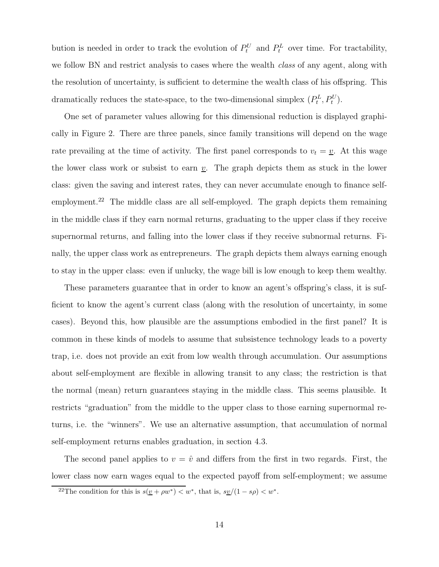bution is needed in order to track the evolution of  $P_t^U$  and  $P_t^L$  over time. For tractability, we follow BN and restrict analysis to cases where the wealth *class* of any agent, along with the resolution of uncertainty, is sufficient to determine the wealth class of his offspring. This dramatically reduces the state-space, to the two-dimensional simplex  $(P_t^L, P_t^U)$ .

One set of parameter values allowing for this dimensional reduction is displayed graphically in Figure 2. There are three panels, since family transitions will depend on the wage rate prevailing at the time of activity. The first panel corresponds to  $v_t = v$ . At this wage the lower class work or subsist to earn  $\underline{v}$ . The graph depicts them as stuck in the lower class: given the saving and interest rates, they can never accumulate enough to finance selfemployment.<sup>22</sup> The middle class are all self-employed. The graph depicts them remaining in the middle class if they earn normal returns, graduating to the upper class if they receive supernormal returns, and falling into the lower class if they receive subnormal returns. Finally, the upper class work as entrepreneurs. The graph depicts them always earning enough to stay in the upper class: even if unlucky, the wage bill is low enough to keep them wealthy.

These parameters guarantee that in order to know an agent's offspring's class, it is sufficient to know the agent's current class (along with the resolution of uncertainty, in some cases). Beyond this, how plausible are the assumptions embodied in the first panel? It is common in these kinds of models to assume that subsistence technology leads to a poverty trap, i.e. does not provide an exit from low wealth through accumulation. Our assumptions about self-employment are flexible in allowing transit to any class; the restriction is that the normal (mean) return guarantees staying in the middle class. This seems plausible. It restricts "graduation" from the middle to the upper class to those earning supernormal returns, i.e. the "winners". We use an alternative assumption, that accumulation of normal self-employment returns enables graduation, in section 4.3.

The second panel applies to  $v = \hat{v}$  and differs from the first in two regards. First, the lower class now earn wages equal to the expected payoff from self-employment; we assume

<sup>&</sup>lt;sup>22</sup>The condition for this is  $s(\underline{v} + \rho w^*) < w^*$ , that is,  $s\underline{v}/(1 - s\rho) < w^*$ .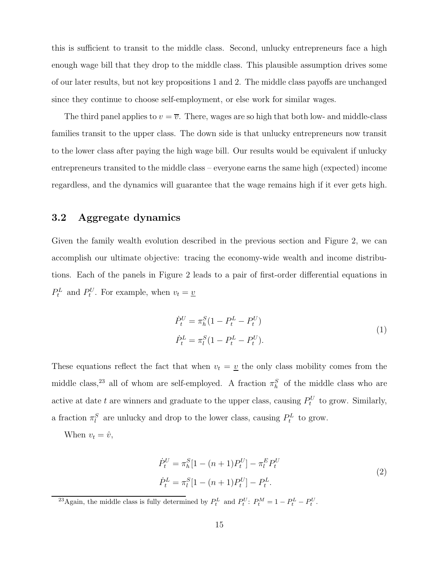this is sufficient to transit to the middle class. Second, unlucky entrepreneurs face a high enough wage bill that they drop to the middle class. This plausible assumption drives some of our later results, but not key propositions 1 and 2. The middle class payoffs are unchanged since they continue to choose self-employment, or else work for similar wages.

The third panel applies to  $v = \overline{v}$ . There, wages are so high that both low- and middle-class families transit to the upper class. The down side is that unlucky entrepreneurs now transit to the lower class after paying the high wage bill. Our results would be equivalent if unlucky entrepreneurs transited to the middle class – everyone earns the same high (expected) income regardless, and the dynamics will guarantee that the wage remains high if it ever gets high.

### **3.2 Aggregate dynamics**

Given the family wealth evolution described in the previous section and Figure 2, we can accomplish our ultimate objective: tracing the economy-wide wealth and income distributions. Each of the panels in Figure 2 leads to a pair of first-order differential equations in  $P_t^L$  and  $P_t^U$ . For example, when  $v_t = \underline{v}$ 

$$
\dot{P}_t^U = \pi_h^S (1 - P_t^L - P_t^U) \n\dot{P}_t^L = \pi_l^S (1 - P_t^L - P_t^U).
$$
\n(1)

These equations reflect the fact that when  $v_t = v$  the only class mobility comes from the middle class,<sup>23</sup> all of whom are self-employed. A fraction  $\pi_h^S$  of the middle class who are active at date t are winners and graduate to the upper class, causing  $P_t^U$  to grow. Similarly, a fraction  $\pi_l^S$  are unlucky and drop to the lower class, causing  $P_t^L$  to grow.

When  $v_t = \hat{v}$ ,

$$
\dot{P}_t^U = \pi_h^S [1 - (n+1)P_t^U] - \pi_t^E P_t^U
$$
\n
$$
\dot{P}_t^L = \pi_l^S [1 - (n+1)P_t^U] - P_t^L.
$$
\n(2)

<sup>23</sup>Again, the middle class is fully determined by  $P_t^L$  and  $P_t^U$ :  $P_t^M = 1 - P_t^L - P_t^U$ .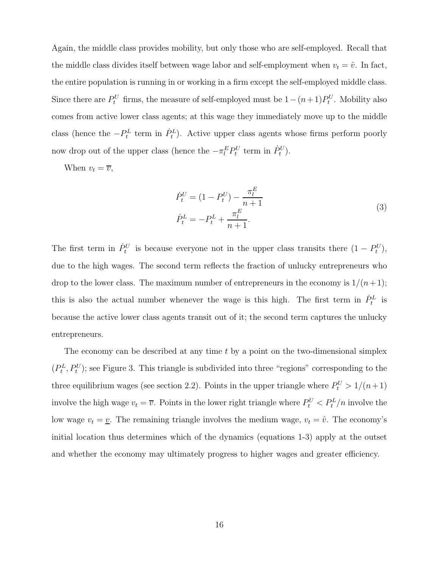Again, the middle class provides mobility, but only those who are self-employed. Recall that the middle class divides itself between wage labor and self-employment when  $v_t = \hat{v}$ . In fact, the entire population is running in or working in a firm except the self-employed middle class. Since there are  $P_t^U$  firms, the measure of self-employed must be  $1-(n+1)P_t^U$ . Mobility also comes from active lower class agents; at this wage they immediately move up to the middle class (hence the  $-P_t^L$  term in  $\dot{P}_t^L$ ). Active upper class agents whose firms perform poorly now drop out of the upper class (hence the  $-\pi_l^E P_t^U$  term in  $\dot{P}_t^U$ ).

When  $v_t = \overline{v}$ ,

$$
\dot{P}_t^U = (1 - P_t^U) - \frac{\pi_l^E}{n+1} \n\dot{P}_t^L = -P_t^L + \frac{\pi_l^E}{n+1}.
$$
\n(3)

The first term in  $\dot{P}_t^U$  is because everyone not in the upper class transits there  $(1 - P_t^U)$ , due to the high wages. The second term reflects the fraction of unlucky entrepreneurs who drop to the lower class. The maximum number of entrepreneurs in the economy is  $1/(n+1)$ ; this is also the actual number whenever the wage is this high. The first term in  $\dot{P}_t^L$  is because the active lower class agents transit out of it; the second term captures the unlucky entrepreneurs.

The economy can be described at any time  $t$  by a point on the two-dimensional simplex  $(P_t^L, P_t^U)$ ; see Figure 3. This triangle is subdivided into three "regions" corresponding to the three equilibrium wages (see section 2.2). Points in the upper triangle where  $P_t^U > 1/(n+1)$ involve the high wage  $v_t = \overline{v}$ . Points in the lower right triangle where  $P_t^U < P_t^L/n$  involve the low wage  $v_t = v$ . The remaining triangle involves the medium wage,  $v_t = \hat{v}$ . The economy's initial location thus determines which of the dynamics (equations 1-3) apply at the outset and whether the economy may ultimately progress to higher wages and greater efficiency.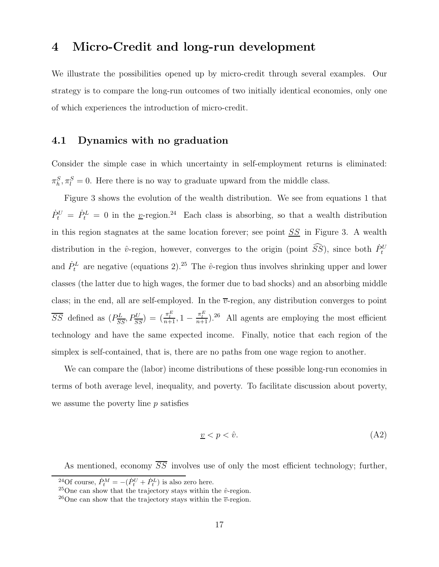### **4 Micro-Credit and long-run development**

We illustrate the possibilities opened up by micro-credit through several examples. Our strategy is to compare the long-run outcomes of two initially identical economies, only one of which experiences the introduction of micro-credit.

#### **4.1 Dynamics with no graduation**

Consider the simple case in which uncertainty in self-employment returns is eliminated:  $\pi_h^S, \pi_l^S = 0$ . Here there is no way to graduate upward from the middle class.

Figure 3 shows the evolution of the wealth distribution. We see from equations 1 that  $\dot{P}_t^U = \dot{P}_t^L = 0$  in the <u>v</u>-region.<sup>24</sup> Each class is absorbing, so that a wealth distribution in this region stagnates at the same location forever; see point  $SS$  in Figure 3. A wealth distribution in the  $\hat{v}$ -region, however, converges to the origin (point  $\widehat{SS}$ ), since both  $\dot{P}_t^U$ and  $\dot{P}_t^L$  are negative (equations 2).<sup>25</sup> The  $\hat{v}$ -region thus involves shrinking upper and lower classes (the latter due to high wages, the former due to bad shocks) and an absorbing middle class; in the end, all are self-employed. In the  $\overline{v}$ -region, any distribution converges to point  $\overline{SS}$  defined as  $(P_{\overline{SS}}^L, P_{\overline{SS}}^U) = (\frac{\pi_i^E}{n+1}, 1 - \frac{\pi_i^E}{n+1})$ .<sup>26</sup> All agents are employing the most efficient technology and have the same expected income. Finally, notice that each region of the simplex is self-contained, that is, there are no paths from one wage region to another.

We can compare the (labor) income distributions of these possible long-run economies in terms of both average level, inequality, and poverty. To facilitate discussion about poverty, we assume the poverty line  $p$  satisfies

$$
\underline{v} < p < \hat{v}.\tag{A2}
$$

As mentioned, economy  $\overline{SS}$  involves use of only the most efficient technology; further,

<sup>&</sup>lt;sup>24</sup>Of course,  $\dot{P}_t^M = -(\dot{P}_t^U + \dot{P}_t^L)$  is also zero here.

<sup>&</sup>lt;sup>25</sup>One can show that the trajectory stays within the  $\hat{v}$ -region.

<sup>&</sup>lt;sup>26</sup>One can show that the trajectory stays within the  $\overline{v}$ -region.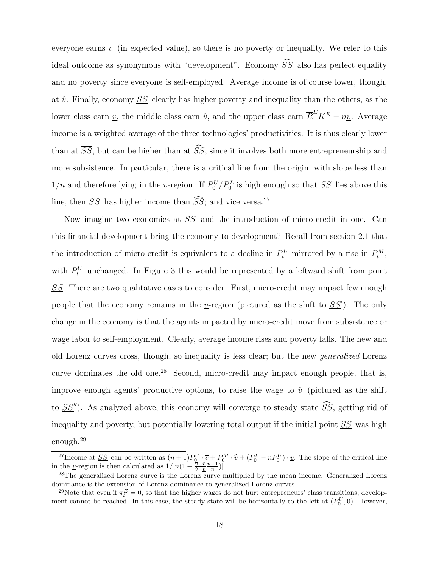everyone earns  $\bar{v}$  (in expected value), so there is no poverty or inequality. We refer to this ideal outcome as synonymous with "development". Economy  $SS$  also has perfect equality and no poverty since everyone is self-employed. Average income is of course lower, though, at  $\hat{v}$ . Finally, economy  $SS$  clearly has higher poverty and inequality than the others, as the lower class earn  $\underline{v}$ , the middle class earn  $\hat{v}$ , and the upper class earn  $\overline{R}^E K^E - n\underline{v}$ . Average income is a weighted average of the three technologies' productivities. It is thus clearly lower than at  $SS$ , but can be higher than at  $SS$ , since it involves both more entrepreneurship and more subsistence. In particular, there is a critical line from the origin, with slope less than  $1/n$  and therefore lying in the <u>v</u>-region. If  $P_0^U/P_0^L$  is high enough so that <u>SS</u> lies above this line, then  $SS$  has higher income than  $SS$ ; and vice versa.<sup>27</sup>

Now imagine two economies at <u>SS</u> and the introduction of micro-credit in one. Can this financial development bring the economy to development? Recall from section 2.1 that the introduction of micro-credit is equivalent to a decline in  $P_t^L$  mirrored by a rise in  $P_t^M$ , with  $P_t^U$  unchanged. In Figure 3 this would be represented by a leftward shift from point SS. There are two qualitative cases to consider. First, micro-credit may impact few enough people that the economy remains in the <u>v</u>-region (pictured as the shift to  $SS'$ ). The only change in the economy is that the agents impacted by micro-credit move from subsistence or wage labor to self-employment. Clearly, average income rises and poverty falls. The new and old Lorenz curves cross, though, so inequality is less clear; but the new generalized Lorenz curve dominates the old one.<sup>28</sup> Second, micro-credit may impact enough people, that is, improve enough agents' productive options, to raise the wage to  $\hat{v}$  (pictured as the shift to  $SS'$ ). As analyzed above, this economy will converge to steady state  $SS$ , getting rid of inequality and poverty, but potentially lowering total output if the initial point  $SS$  was high enough.<sup>29</sup>

<sup>&</sup>lt;sup>27</sup>Income at <u>SS</u> can be written as  $(n+1)P_0^U \cdot \overline{v} + P_0^M \cdot \hat{v} + (P_0^L - nP_0^U) \cdot \underline{v}$ . The slope of the critical line the *v* region is then calculated as  $1/[n(1 + \frac{\overline{v} - \hat{v}}{v}n + 1)]$ in the <u>*v*</u>-region is then calculated as  $1/[n(1 + \frac{\overline{v} - \hat{v}}{\hat{v} - \underline{v}} \frac{n+1}{n})].$ 

<sup>&</sup>lt;sup>28</sup>The generalized Lorenz curve is the Lorenz curve multiplied by the mean income. Generalized Lorenz dominance is the extension of Lorenz dominance to generalized Lorenz curves.

<sup>&</sup>lt;sup>29</sup>Note that even if  $\pi_l^E = 0$ , so that the higher wages do not hurt entrepreneurs' class transitions, development cannot be reached. In this case, the steady state will be horizontally to the left at  $(P_0^U, 0)$ . However,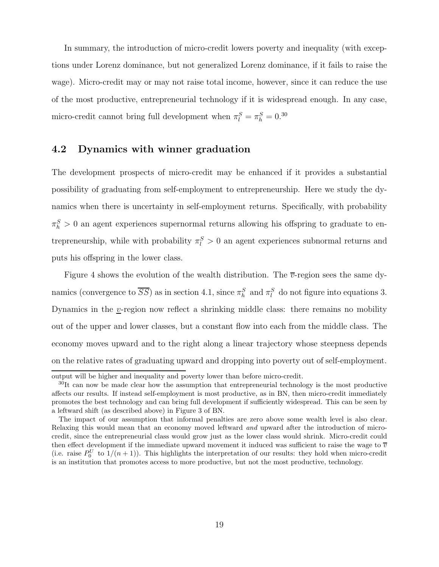In summary, the introduction of micro-credit lowers poverty and inequality (with exceptions under Lorenz dominance, but not generalized Lorenz dominance, if it fails to raise the wage). Micro-credit may or may not raise total income, however, since it can reduce the use of the most productive, entrepreneurial technology if it is widespread enough. In any case, micro-credit cannot bring full development when  $\pi_l^S = \pi_h^S = 0.30$ 

### **4.2 Dynamics with winner graduation**

The development prospects of micro-credit may be enhanced if it provides a substantial possibility of graduating from self-employment to entrepreneurship. Here we study the dynamics when there is uncertainty in self-employment returns. Specifically, with probability  $\pi_h^S > 0$  an agent experiences supernormal returns allowing his offspring to graduate to entrepreneurship, while with probability  $\pi_l^S > 0$  an agent experiences subnormal returns and puts his offspring in the lower class.

Figure 4 shows the evolution of the wealth distribution. The  $\overline{v}$ -region sees the same dynamics (convergence to  $\overline{SS}$ ) as in section 4.1, since  $\pi_h^S$  and  $\pi_l^S$  do not figure into equations 3. Dynamics in the *v*-region now reflect a shrinking middle class: there remains no mobility out of the upper and lower classes, but a constant flow into each from the middle class. The economy moves upward and to the right along a linear trajectory whose steepness depends on the relative rates of graduating upward and dropping into poverty out of self-employment.

output will be higher and inequality and poverty lower than before micro-credit.

<sup>&</sup>lt;sup>30</sup>It can now be made clear how the assumption that entrepreneurial technology is the most productive affects our results. If instead self-employment is most productive, as in BN, then micro-credit immediately promotes the best technology and can bring full development if sufficiently widespread. This can be seen by a leftward shift (as described above) in Figure 3 of BN.

The impact of our assumption that informal penalties are zero above some wealth level is also clear. Relaxing this would mean that an economy moved leftward *and* upward after the introduction of microcredit, since the entrepreneurial class would grow just as the lower class would shrink. Micro-credit could then effect development if the immediate upward movement it induced was sufficient to raise the wage to  $\overline{v}$ (i.e. raise  $P_0^U$  to  $1/(n+1)$ ). This highlights the interpretation of our results: they hold when micro-credit is an institution that promotes access to more productive, but not the most productive, technology.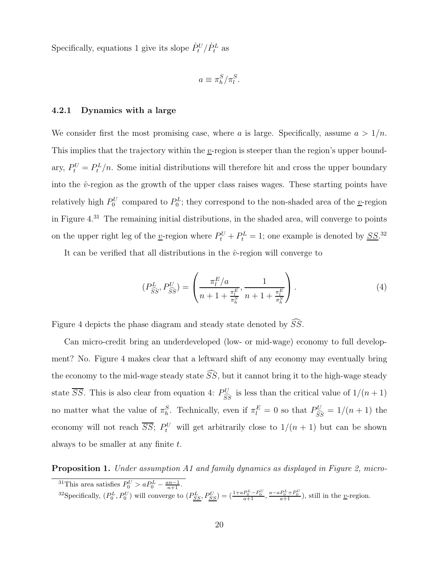Specifically, equations 1 give its slope  $\dot{P}^U_t/\dot{P}^L_t$  as

$$
a\equiv \pi_h^S/\pi_l^S.
$$

#### **4.2.1 Dynamics with a large**

We consider first the most promising case, where a is large. Specifically, assume  $a > 1/n$ . This implies that the trajectory within the  $v$ -region is steeper than the region's upper boundary,  $P_t^U = P_t^L/n$ . Some initial distributions will therefore hit and cross the upper boundary into the  $\hat{v}$ -region as the growth of the upper class raises wages. These starting points have relatively high  $P_0^U$  compared to  $P_0^L$ ; they correspond to the non-shaded area of the <u>v</u>-region in Figure 4.<sup>31</sup> The remaining initial distributions, in the shaded area, will converge to points on the upper right leg of the <u>v</u>-region where  $P_t^U + P_t^L = 1$ ; one example is denoted by <u>SS</u>.<sup>32</sup>

It can be verified that all distributions in the  $\hat{v}$ -region will converge to

$$
(P_{\widehat{SS}}^{L}, P_{\widehat{SS}}^{U}) = \left(\frac{\pi_l^{E}/a}{n+1 + \frac{\pi_l^{E}}{ \pi_h^{S}}}, \frac{1}{n+1 + \frac{\pi_l^{E}}{ \pi_h^{S}}}\right).
$$
(4)

Figure 4 depicts the phase diagram and steady state denoted by  $SS$ .

Can micro-credit bring an underdeveloped (low- or mid-wage) economy to full development? No. Figure 4 makes clear that a leftward shift of any economy may eventually bring the economy to the mid-wage steady state  $SS$ , but it cannot bring it to the high-wage steady state  $\overline{SS}$ . This is also clear from equation 4:  $P_{\widehat{\epsilon}}^U$  $\frac{\partial U}{\partial S}$  is less than the critical value of  $1/(n+1)$ no matter what the value of  $\pi_h^S$ . Technically, even if  $\pi_l^E = 0$  so that  $P_{\widehat{SS}}^U = 1/(n+1)$  the economy will not reach  $\overline{SS}$ ;  $P_t^U$  will get arbitrarily close to  $1/(n+1)$  but can be shown always to be smaller at any finite  $t$ .

**Proposition 1.** Under assumption A1 and family dynamics as displayed in Figure 2, micro-

<sup>&</sup>lt;sup>31</sup>This area satisfies  $P_0^U > a P_0^L - \frac{a n - 1}{n+1}$ .

<sup>&</sup>lt;sup>32</sup>Specifically,  $(P_0^L, P_0^U)$  will converge to  $(P_{SS}^L, P_{SS}^U) = \left(\frac{1 + a P_0^L - P_0^U}{a+1}, \frac{a - a P_0^L + P_0^U}{a+1}\right)$ , still in the *y*-region.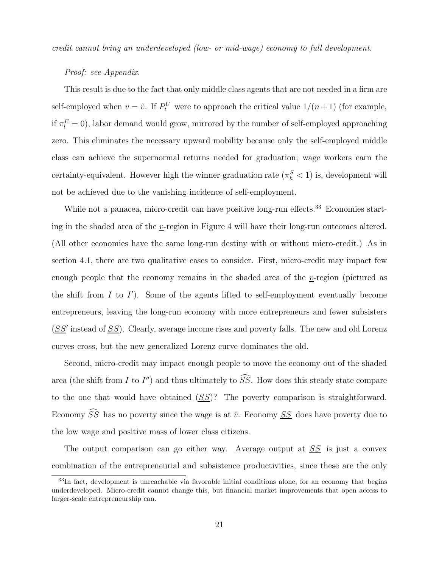credit cannot bring an underdeveloped (low- or mid-wage) economy to full development.

#### Proof: see Appendix.

This result is due to the fact that only middle class agents that are not needed in a firm are self-employed when  $v = \hat{v}$ . If  $P_t^U$  were to approach the critical value  $1/(n+1)$  (for example, if  $\pi_l^E = 0$ ), labor demand would grow, mirrored by the number of self-employed approaching zero. This eliminates the necessary upward mobility because only the self-employed middle class can achieve the supernormal returns needed for graduation; wage workers earn the certainty-equivalent. However high the winner graduation rate  $(\pi_h^S < 1)$  is, development will not be achieved due to the vanishing incidence of self-employment.

While not a panacea, micro-credit can have positive long-run effects.<sup>33</sup> Economies starting in the shaded area of the v-region in Figure 4 will have their long-run outcomes altered. (All other economies have the same long-run destiny with or without micro-credit.) As in section 4.1, there are two qualitative cases to consider. First, micro-credit may impact few enough people that the economy remains in the shaded area of the v-region (pictured as the shift from  $I$  to  $I'$ ). Some of the agents lifted to self-employment eventually become entrepreneurs, leaving the long-run economy with more entrepreneurs and fewer subsisters  $(SS'$  instead of  $SS$ ). Clearly, average income rises and poverty falls. The new and old Lorenz curves cross, but the new generalized Lorenz curve dominates the old.

Second, micro-credit may impact enough people to move the economy out of the shaded area (the shift from  $I$  to  $I''$ ) and thus ultimately to  $SS$ . How does this steady state compare to the one that would have obtained  $(SS)$ ? The poverty comparison is straightforward. Economy SS-has no poverty since the wage is at  $\hat{v}$ . Economy <u>SS</u> does have poverty due to the low wage and positive mass of lower class citizens.

The output comparison can go either way. Average output at  $SS$  is just a convex combination of the entrepreneurial and subsistence productivities, since these are the only

<sup>&</sup>lt;sup>33</sup>In fact, development is unreachable via favorable initial conditions alone, for an economy that begins underdeveloped. Micro-credit cannot change this, but financial market improvements that open access to larger-scale entrepreneurship can.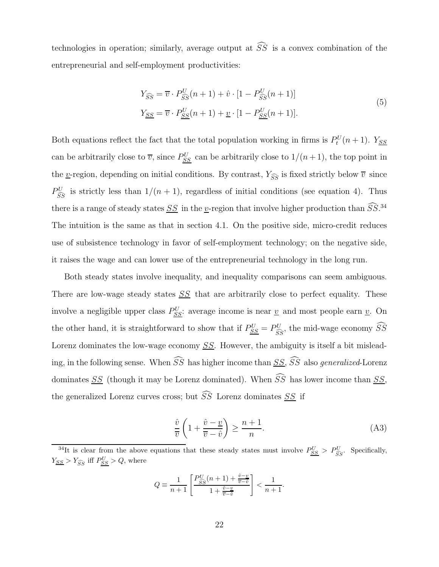technologies in operation; similarly, average output at  $SS$  is a convex combination of the entrepreneurial and self-employment productivities:

$$
Y_{\widehat{SS}} = \overline{v} \cdot P_{\widehat{SS}}^U(n+1) + \hat{v} \cdot [1 - P_{\widehat{SS}}^U(n+1)]
$$
  
\n
$$
Y_{\underline{SS}} = \overline{v} \cdot P_{\underline{SS}}^U(n+1) + \underline{v} \cdot [1 - P_{\underline{SS}}^U(n+1)].
$$
\n(5)

Both equations reflect the fact that the total population working in firms is  $P_t^U(n+1)$ . Y<sub>SS</sub> can be arbitrarily close to  $\overline{v}$ , since  $P_{SS}^U$  can be arbitrarily close to  $1/(n+1)$ , the top point in the <u>v</u>-region, depending on initial conditions. By contrast,  $Y_{\widehat{SS}}$  is fixed strictly below  $\overline{v}$  since  $P_{\widehat{\epsilon}}^U$  $\frac{\partial U}{\partial S}$  is strictly less than  $1/(n+1)$ , regardless of initial conditions (see equation 4). Thus there is a range of steady states <u>SS</u> in the <u>v</u>-region that involve higher production than  $\tilde{S}\tilde{S}^{34}$ The intuition is the same as that in section 4.1. On the positive side, micro-credit reduces use of subsistence technology in favor of self-employment technology; on the negative side, it raises the wage and can lower use of the entrepreneurial technology in the long run.

Both steady states involve inequality, and inequality comparisons can seem ambiguous. There are low-wage steady states  $SS$  that are arbitrarily close to perfect equality. These involve a negligible upper class  $P_{SS}^U$ : average income is near  $\underline{v}$  and most people earn  $\underline{v}$ . On the other hand, it is straightforward to show that if  $P_{SS}^U = P_{SS}^U$ , the mid-wage economy  $\tilde{S}\tilde{S}$ Lorenz dominates the low-wage economy SS. However, the ambiguity is itself a bit misleading, in the following sense. When  $SS$  has higher income than  $SS$ , SS-also generalized-Lorenz dominates <u>SS</u> (though it may be Lorenz dominated). When SS has lower income than <u>SS</u>, the generalized Lorenz curves cross; but  $SS$  Lorenz dominates  $SS$  if

$$
\frac{\hat{v}}{\overline{v}}\left(1+\frac{\hat{v}-\underline{v}}{\overline{v}-\hat{v}}\right) \ge \frac{n+1}{n}.\tag{A3}
$$

$$
Q \equiv \frac{1}{n+1} \left[ \frac{P_{\widehat{SS}}^{U}(n+1) + \frac{\hat{v} - \underline{v}}{\overline{v} - \hat{v}}}{1 + \frac{\hat{v} - \underline{v}}{\overline{v} - \hat{v}}} \right] < \frac{1}{n+1}.
$$

<sup>&</sup>lt;sup>34</sup>It is clear from the above equations that these steady states must involve  $P_{SS}^U > P_{SS}^U$ . Specifically,  $Y_{SS} > Y_{SS}$  iff  $P_{SS}^U > Q$ , where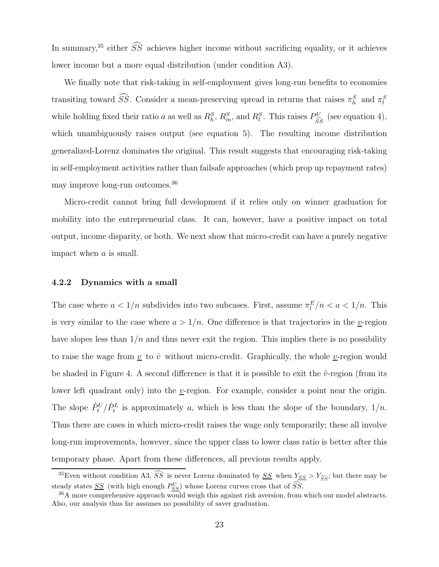In summary,<sup>35</sup> either  $\tilde{S}\tilde{S}$  achieves higher income without sacrificing equality, or it achieves lower income but a more equal distribution (under condition A3).

We finally note that risk-taking in self-employment gives long-run benefits to economies transiting toward  $\tilde{S}\tilde{S}$ . Consider a mean-preserving spread in returns that raises  $\pi_h^S$  and  $\pi_l^S$ while holding fixed their ratio a as well as  $R_h^S$ ,  $R_m^S$ , and  $R_l^S$ . This raises  $P_{\widehat{SS}}^U$  (see equation 4), which unambiguously raises output (see equation 5). The resulting income distribution generalized-Lorenz dominates the original. This result suggests that encouraging risk-taking in self-employment activities rather than failsafe approaches (which prop up repayment rates) may improve long-run outcomes.<sup>36</sup>

Micro-credit cannot bring full development if it relies only on winner graduation for mobility into the entrepreneurial class. It can, however, have a positive impact on total output, income disparity, or both. We next show that micro-credit can have a purely negative impact when a is small.

#### **4.2.2 Dynamics with a small**

The case where  $a < 1/n$  subdivides into two subcases. First, assume  $\pi_l^E/n < a < 1/n$ . This is very similar to the case where  $a > 1/n$ . One difference is that trajectories in the *y*-region have slopes less than  $1/n$  and thus never exit the region. This implies there is no possibility to raise the wage from  $\underline{v}$  to  $\hat{v}$  without micro-credit. Graphically, the whole  $\underline{v}$ -region would be shaded in Figure 4. A second difference is that it is possible to exit the  $\hat{v}$ -region (from its lower left quadrant only) into the v-region. For example, consider a point near the origin. The slope  $\dot{P}_t^U/\dot{P}_t^L$  is approximately a, which is less than the slope of the boundary,  $1/n$ . Thus there are cases in which micro-credit raises the wage only temporarily; these all involve long-run improvements, however, since the upper class to lower class ratio is better after this temporary phase. Apart from these differences, all previous results apply.

<sup>&</sup>lt;sup>35</sup>Even without condition A3,  $\widehat{S}\widehat{S}$  is never Lorenz dominated by  $\underline{S}\widehat{S}$  when  $Y_{SS} > Y_{\widehat{S}\widehat{S}}$ ; but there may be steady states  $\underline{SS}$  (with high enough  $P_{SS}^U$ ) whose Lorenz curves cross that of  $\widetilde{SS}$ .

<sup>&</sup>lt;sup>36</sup>A more comprehensive approach would weigh this against risk aversion, from which our model abstracts. Also, our analysis thus far assumes no possibility of saver graduation.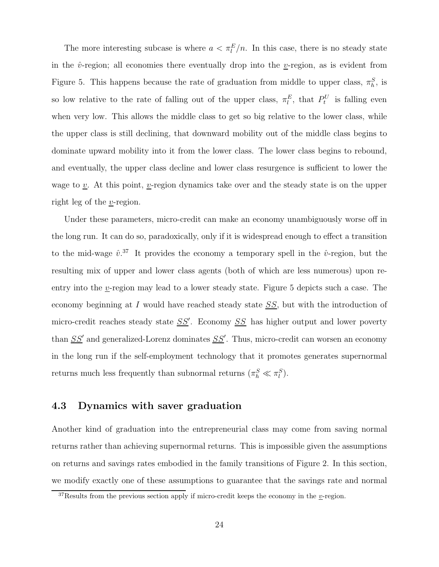The more interesting subcase is where  $a < \pi_l^E/n$ . In this case, there is no steady state in the  $\hat{v}$ -region; all economies there eventually drop into the v-region, as is evident from Figure 5. This happens because the rate of graduation from middle to upper class,  $\pi_h^S$ , is so low relative to the rate of falling out of the upper class,  $\pi_l^E$ , that  $P_t^U$  is falling even when very low. This allows the middle class to get so big relative to the lower class, while the upper class is still declining, that downward mobility out of the middle class begins to dominate upward mobility into it from the lower class. The lower class begins to rebound, and eventually, the upper class decline and lower class resurgence is sufficient to lower the wage to  $\underline{v}$ . At this point, <u>v</u>-region dynamics take over and the steady state is on the upper right leg of the v-region.

Under these parameters, micro-credit can make an economy unambiguously worse off in the long run. It can do so, paradoxically, only if it is widespread enough to effect a transition to the mid-wage  $\hat{v}^{37}$ . It provides the economy a temporary spell in the  $\hat{v}$ -region, but the resulting mix of upper and lower class agents (both of which are less numerous) upon reentry into the  $v$ -region may lead to a lower steady state. Figure 5 depicts such a case. The economy beginning at  $I$  would have reached steady state  $SS$ , but with the introduction of micro-credit reaches steady state  $SS'$ . Economy  $SS$  has higher output and lower poverty than  $SS'$  and generalized-Lorenz dominates  $SS'$ . Thus, micro-credit can worsen an economy in the long run if the self-employment technology that it promotes generates supernormal returns much less frequently than subnormal returns  $(\pi_h^S \ll \pi_l^S)$ .

### **4.3 Dynamics with saver graduation**

Another kind of graduation into the entrepreneurial class may come from saving normal returns rather than achieving supernormal returns. This is impossible given the assumptions on returns and savings rates embodied in the family transitions of Figure 2. In this section, we modify exactly one of these assumptions to guarantee that the savings rate and normal

<sup>&</sup>lt;sup>37</sup>Results from the previous section apply if micro-credit keeps the economy in the  $v$ -region.</u>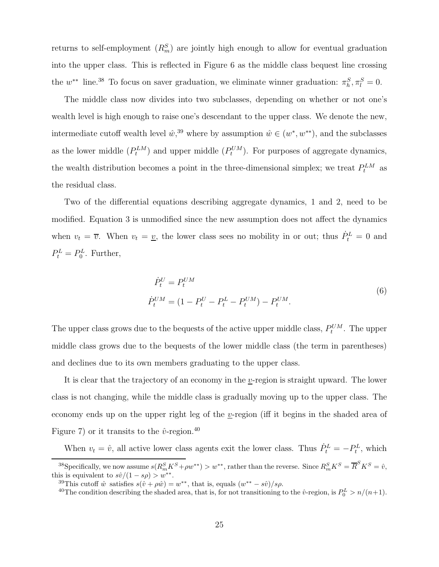returns to self-employment  $(R_m^S)$  are jointly high enough to allow for eventual graduation into the upper class. This is reflected in Figure 6 as the middle class bequest line crossing the  $w^{**}$  line.<sup>38</sup> To focus on saver graduation, we eliminate winner graduation:  $\pi_h^S$ ,  $\pi_l^S = 0$ .

The middle class now divides into two subclasses, depending on whether or not one's wealth level is high enough to raise one's descendant to the upper class. We denote the new, intermediate cutoff wealth level  $\hat{w}$ ,<sup>39</sup> where by assumption  $\hat{w} \in (w^*, w^{**})$ , and the subclasses as the lower middle  $(P_t^{LM})$  and upper middle  $(P_t^{UM})$ . For purposes of aggregate dynamics, the wealth distribution becomes a point in the three-dimensional simplex; we treat  $P_t^{LM}$  as the residual class.

Two of the differential equations describing aggregate dynamics, 1 and 2, need to be modified. Equation 3 is unmodified since the new assumption does not affect the dynamics when  $v_t = \overline{v}$ . When  $v_t = \underline{v}$ , the lower class sees no mobility in or out; thus  $\dot{P}_t^L = 0$  and  $P_t^L = P_0^L$ . Further,

$$
\dot{P}_t^U = P_t^{UM}
$$
\n
$$
\dot{P}_t^{UM} = (1 - P_t^U - P_t^L - P_t^{UM}) - P_t^{UM}.
$$
\n(6)

The upper class grows due to the bequests of the active upper middle class,  $P_t^{UM}$ . The upper middle class grows due to the bequests of the lower middle class (the term in parentheses) and declines due to its own members graduating to the upper class.

It is clear that the trajectory of an economy in the <u>v</u>-region is straight upward. The lower class is not changing, while the middle class is gradually moving up to the upper class. The economy ends up on the upper right leg of the  $v$ -region (iff it begins in the shaded area of Figure 7) or it transits to the  $\hat{v}$ -region.<sup>40</sup>

When  $v_t = \hat{v}$ , all active lower class agents exit the lower class. Thus  $\dot{P}_t^L = -P_t^L$ , which

 $^{38}$ Specifically, we now assume  $s(R_m^S K^S + \rho w^{**}) > w^{**}$ , rather than the reverse. Since  $R_m^S K^S = \overline{R}^S K^S = \hat{v}$ , this is equivalent to  $s\hat{v}/(1 - s\rho) > w^{**}$ .

<sup>&</sup>lt;sup>39</sup>This cutoff  $\hat{w}$  satisfies  $s(\hat{v} + \rho \hat{w}) = w^{**}$ , that is, equals  $(w^{**} - s\hat{v})/s\rho$ .

<sup>&</sup>lt;sup>40</sup>The condition describing the shaded area, that is, for not transitioning to the  $\hat{v}$ -region, is  $P_0^L > n/(n+1)$ .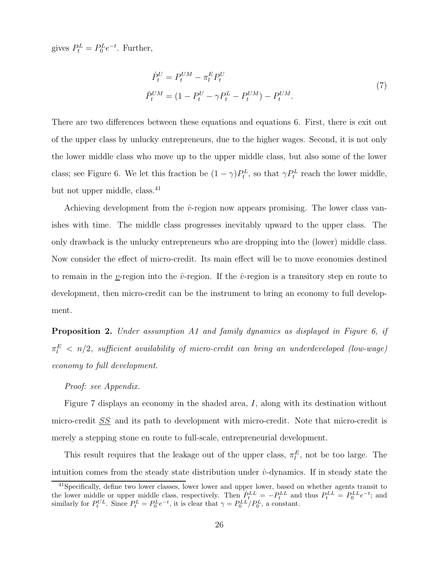gives  $P_t^L = P_0^L e^{-t}$ . Further,

$$
\dot{P}_t^U = P_t^{UM} - \pi_l^E P_t^U
$$
\n
$$
\dot{P}_t^{UM} = (1 - P_t^U - \gamma P_t^L - P_t^{UM}) - P_t^{UM}.
$$
\n(7)

There are two differences between these equations and equations 6. First, there is exit out of the upper class by unlucky entrepreneurs, due to the higher wages. Second, it is not only the lower middle class who move up to the upper middle class, but also some of the lower class; see Figure 6. We let this fraction be  $(1 - \gamma)P_t^L$ , so that  $\gamma P_t^L$  reach the lower middle, but not upper middle, class.<sup>41</sup>

Achieving development from the  $\hat{v}$ -region now appears promising. The lower class vanishes with time. The middle class progresses inevitably upward to the upper class. The only drawback is the unlucky entrepreneurs who are dropping into the (lower) middle class. Now consider the effect of micro-credit. Its main effect will be to move economies destined to remain in the v-region into the  $\hat{v}$ -region. If the  $\hat{v}$ -region is a transitory step en route to development, then micro-credit can be the instrument to bring an economy to full development.

**Proposition 2.** Under assumption A1 and family dynamics as displayed in Figure 6, if  $\pi_l^E~<~n/2, ~sufficient~ availability~of~micro-credit~can~bring~an~underdeveloped~(low- wage)$ economy to full development.

#### Proof: see Appendix.

Figure 7 displays an economy in the shaded area, I, along with its destination without micro-credit SS and its path to development with micro-credit. Note that micro-credit is merely a stepping stone en route to full-scale, entrepreneurial development.

This result requires that the leakage out of the upper class,  $\pi_l^E$ , not be too large. The intuition comes from the steady state distribution under  $\hat{v}$ -dynamics. If in steady state the

<sup>&</sup>lt;sup>41</sup>Specifically, define two lower classes, lower lower and upper lower, based on whether agents transit to the lower middle or upper middle class, respectively. Then  $P_t^{LL} = -P_t^{LL}$  and thus  $P_t^{LL} = P_0^{LL}e^{-t}$ ; and similarly for  $P_t^{UL}$ . Since  $P_t^L = P_0^L e^{-t}$ , it is clear that  $\gamma = P_0^{LL}/P_0^L$ , a constant.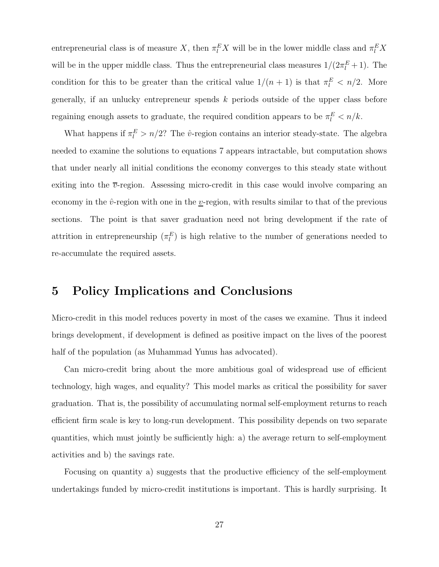entrepreneurial class is of measure X, then  $\pi_l^E X$  will be in the lower middle class and  $\pi_l^E X$ will be in the upper middle class. Thus the entrepreneurial class measures  $1/(2\pi \frac{E}{l} + 1)$ . The condition for this to be greater than the critical value  $1/(n+1)$  is that  $\pi_l^E < n/2$ . More generally, if an unlucky entrepreneur spends  $k$  periods outside of the upper class before regaining enough assets to graduate, the required condition appears to be  $\pi_l^E < n/k$ .

What happens if  $\pi_l^E > n/2$ ? The  $\hat{v}$ -region contains an interior steady-state. The algebra needed to examine the solutions to equations 7 appears intractable, but computation shows that under nearly all initial conditions the economy converges to this steady state without exiting into the  $\overline{v}$ -region. Assessing micro-credit in this case would involve comparing an economy in the  $\hat{v}$ -region with one in the *v*-region, with results similar to that of the previous sections. The point is that saver graduation need not bring development if the rate of attrition in entrepreneurship  $(\pi_l^E)$  is high relative to the number of generations needed to re-accumulate the required assets.

### **5 Policy Implications and Conclusions**

Micro-credit in this model reduces poverty in most of the cases we examine. Thus it indeed brings development, if development is defined as positive impact on the lives of the poorest half of the population (as Muhammad Yunus has advocated).

Can micro-credit bring about the more ambitious goal of widespread use of efficient technology, high wages, and equality? This model marks as critical the possibility for saver graduation. That is, the possibility of accumulating normal self-employment returns to reach efficient firm scale is key to long-run development. This possibility depends on two separate quantities, which must jointly be sufficiently high: a) the average return to self-employment activities and b) the savings rate.

Focusing on quantity a) suggests that the productive efficiency of the self-employment undertakings funded by micro-credit institutions is important. This is hardly surprising. It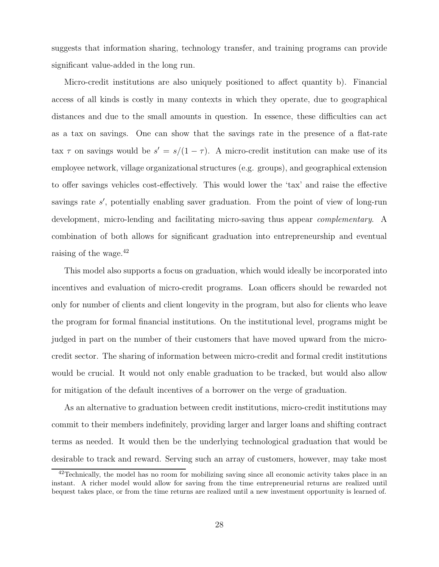suggests that information sharing, technology transfer, and training programs can provide significant value-added in the long run.

Micro-credit institutions are also uniquely positioned to affect quantity b). Financial access of all kinds is costly in many contexts in which they operate, due to geographical distances and due to the small amounts in question. In essence, these difficulties can act as a tax on savings. One can show that the savings rate in the presence of a flat-rate tax  $\tau$  on savings would be  $s' = s/(1 - \tau)$ . A micro-credit institution can make use of its employee network, village organizational structures (e.g. groups), and geographical extension to offer savings vehicles cost-effectively. This would lower the 'tax' and raise the effective savings rate s', potentially enabling saver graduation. From the point of view of long-run development, micro-lending and facilitating micro-saving thus appear *complementary*. A combination of both allows for significant graduation into entrepreneurship and eventual raising of the wage.<sup>42</sup>

This model also supports a focus on graduation, which would ideally be incorporated into incentives and evaluation of micro-credit programs. Loan officers should be rewarded not only for number of clients and client longevity in the program, but also for clients who leave the program for formal financial institutions. On the institutional level, programs might be judged in part on the number of their customers that have moved upward from the microcredit sector. The sharing of information between micro-credit and formal credit institutions would be crucial. It would not only enable graduation to be tracked, but would also allow for mitigation of the default incentives of a borrower on the verge of graduation.

As an alternative to graduation between credit institutions, micro-credit institutions may commit to their members indefinitely, providing larger and larger loans and shifting contract terms as needed. It would then be the underlying technological graduation that would be desirable to track and reward. Serving such an array of customers, however, may take most

 $^{42}$ Technically, the model has no room for mobilizing saving since all economic activity takes place in an instant. A richer model would allow for saving from the time entrepreneurial returns are realized until bequest takes place, or from the time returns are realized until a new investment opportunity is learned of.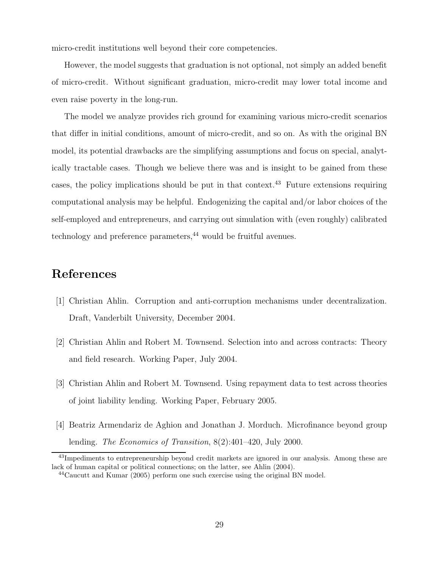micro-credit institutions well beyond their core competencies.

However, the model suggests that graduation is not optional, not simply an added benefit of micro-credit. Without significant graduation, micro-credit may lower total income and even raise poverty in the long-run.

The model we analyze provides rich ground for examining various micro-credit scenarios that differ in initial conditions, amount of micro-credit, and so on. As with the original BN model, its potential drawbacks are the simplifying assumptions and focus on special, analytically tractable cases. Though we believe there was and is insight to be gained from these cases, the policy implications should be put in that context.<sup>43</sup> Future extensions requiring computational analysis may be helpful. Endogenizing the capital and/or labor choices of the self-employed and entrepreneurs, and carrying out simulation with (even roughly) calibrated technology and preference parameters, $44$  would be fruitful avenues.

# **References**

- [1] Christian Ahlin. Corruption and anti-corruption mechanisms under decentralization. Draft, Vanderbilt University, December 2004.
- [2] Christian Ahlin and Robert M. Townsend. Selection into and across contracts: Theory and field research. Working Paper, July 2004.
- [3] Christian Ahlin and Robert M. Townsend. Using repayment data to test across theories of joint liability lending. Working Paper, February 2005.
- [4] Beatriz Armendariz de Aghion and Jonathan J. Morduch. Microfinance beyond group lending. The Economics of Transition, 8(2):401–420, July 2000.

<sup>&</sup>lt;sup>43</sup>Impediments to entrepreneurship beyond credit markets are ignored in our analysis. Among these are lack of human capital or political connections; on the latter, see Ahlin (2004).

<sup>44</sup>Caucutt and Kumar (2005) perform one such exercise using the original BN model.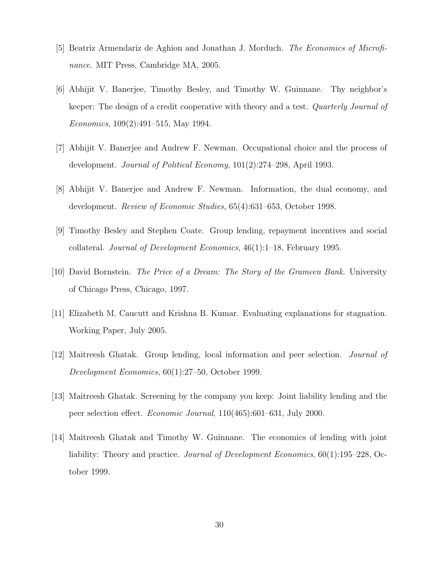- [5] Beatriz Armendariz de Aghion and Jonathan J. Morduch. The Economics of Microfinance. MIT Press, Cambridge MA, 2005.
- [6] Abhijit V. Banerjee, Timothy Besley, and Timothy W. Guinnane. Thy neighbor's keeper: The design of a credit cooperative with theory and a test. *Quarterly Journal of* Economics, 109(2):491–515, May 1994.
- [7] Abhijit V. Banerjee and Andrew F. Newman. Occupational choice and the process of development. Journal of Political Economy, 101(2):274–298, April 1993.
- [8] Abhijit V. Banerjee and Andrew F. Newman. Information, the dual economy, and development. Review of Economic Studies, 65(4):631–653, October 1998.
- [9] Timothy Besley and Stephen Coate. Group lending, repayment incentives and social collateral. Journal of Development Economics, 46(1):1–18, February 1995.
- [10] David Bornstein. The Price of a Dream: The Story of the Grameen Bank. University of Chicago Press, Chicago, 1997.
- [11] Elizabeth M. Caucutt and Krishna B. Kumar. Evaluating explanations for stagnation. Working Paper, July 2005.
- [12] Maitreesh Ghatak. Group lending, local information and peer selection. Journal of Development Economics, 60(1):27–50, October 1999.
- [13] Maitreesh Ghatak. Screening by the company you keep: Joint liability lending and the peer selection effect. Economic Journal, 110(465):601–631, July 2000.
- [14] Maitreesh Ghatak and Timothy W. Guinnane. The economics of lending with joint liability: Theory and practice. Journal of Development Economics, 60(1):195–228, October 1999.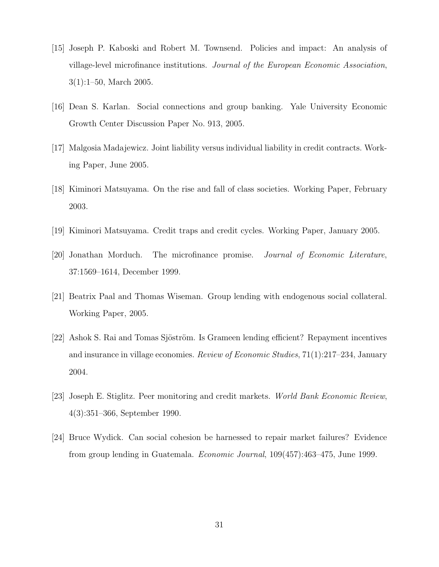- [15] Joseph P. Kaboski and Robert M. Townsend. Policies and impact: An analysis of village-level microfinance institutions. Journal of the European Economic Association, 3(1):1–50, March 2005.
- [16] Dean S. Karlan. Social connections and group banking. Yale University Economic Growth Center Discussion Paper No. 913, 2005.
- [17] Malgosia Madajewicz. Joint liability versus individual liability in credit contracts. Working Paper, June 2005.
- [18] Kiminori Matsuyama. On the rise and fall of class societies. Working Paper, February 2003.
- [19] Kiminori Matsuyama. Credit traps and credit cycles. Working Paper, January 2005.
- [20] Jonathan Morduch. The microfinance promise. Journal of Economic Literature, 37:1569–1614, December 1999.
- [21] Beatrix Paal and Thomas Wiseman. Group lending with endogenous social collateral. Working Paper, 2005.
- [22] Ashok S. Rai and Tomas Sjöström. Is Grameen lending efficient? Repayment incentives and insurance in village economies. Review of Economic Studies, 71(1):217–234, January 2004.
- [23] Joseph E. Stiglitz. Peer monitoring and credit markets. World Bank Economic Review, 4(3):351–366, September 1990.
- [24] Bruce Wydick. Can social cohesion be harnessed to repair market failures? Evidence from group lending in Guatemala. Economic Journal, 109(457):463–475, June 1999.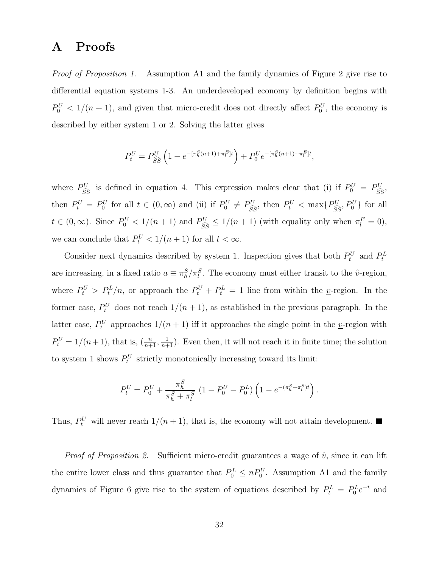### **A Proofs**

Proof of Proposition 1. Assumption A1 and the family dynamics of Figure 2 give rise to differential equation systems 1-3. An underdeveloped economy by definition begins with  $P_0^U$  < 1/(n + 1), and given that micro-credit does not directly affect  $P_0^U$ , the economy is described by either system 1 or 2. Solving the latter gives

$$
P_t^U = P_{\widehat{SS}}^U \left( 1 - e^{-\left[ \pi_h^S (n+1) + \pi_l^E \right] t} \right) + P_0^U e^{-\left[ \pi_h^S (n+1) + \pi_l^E \right] t},
$$

where  $P_{\widehat{\epsilon}}^U$  $S_{\widehat{SS}}^{U}$  is defined in equation 4. This expression makes clear that (i) if  $P_0^U = P_{\widehat{SS}}^{U}$ , then  $P_t^U = P_0^U$  for all  $t \in (0, \infty)$  and (ii) if  $P_0^U \neq P_{\widehat{SS}}^U$ , then  $P_t^U < \max\{P_{\widehat{SS}}^U, P_0^U\}$  for all  $t \in (0,\infty)$ . Since  $P_0^U < 1/(n+1)$  and  $P_{\widehat{SS}}^U \le 1/(n+1)$  (with equality only when  $\pi_l^E = 0$ ), we can conclude that  $P_t^U < 1/(n+1)$  for all  $t < \infty$ .

Consider next dynamics described by system 1. Inspection gives that both  $P_t^U$  and  $P_t^L$ are increasing, in a fixed ratio  $a \equiv \pi_h^S / \pi_l^S$ . The economy must either transit to the  $\hat{v}$ -region, where  $P_t^U > P_t^L/n$ , or approach the  $P_t^U + P_t^L = 1$  line from within the *y*-region. In the former case,  $P_t^U$  does not reach  $1/(n+1)$ , as established in the previous paragraph. In the latter case,  $P_t^U$  approaches  $1/(n+1)$  iff it approaches the single point in the *y*-region with  $P_t^U = 1/(n+1)$ , that is,  $\left(\frac{n}{n+1}, \frac{1}{n+1}\right)$ . Even then, it will not reach it in finite time; the solution to system 1 shows  $P_t^U$  strictly monotonically increasing toward its limit:

$$
P_t^U = P_0^U + \frac{\pi_h^S}{\pi_h^S + \pi_l^S} \left(1 - P_0^U - P_0^L\right) \left(1 - e^{-(\pi_h^S + \pi_l^S)t}\right).
$$

Thus,  $P_t^U$  will never reach  $1/(n+1)$ , that is, the economy will not attain development.

*Proof of Proposition 2.* Sufficient micro-credit guarantees a wage of  $\hat{v}$ , since it can lift the entire lower class and thus guarantee that  $P_0^L \leq n P_0^U$ . Assumption A1 and the family dynamics of Figure 6 give rise to the system of equations described by  $P_t^L = P_0^L e^{-t}$  and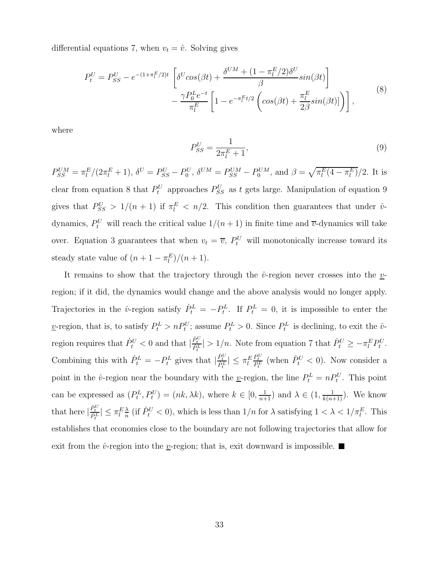differential equations 7, when  $v_t = \hat{v}$ . Solving gives

$$
P_t^U = P_{SS}^U - e^{-(1+\pi_t^E/2)t} \left[ \delta^U \cos(\beta t) + \frac{\delta^{UM} + (1-\pi_t^E/2)\delta^U}{\beta} \sin(\beta t) \right] - \frac{\gamma P_0^L e^{-t}}{\pi_t^E} \left[ 1 - e^{-\pi_t^E t/2} \left( \cos(\beta t) + \frac{\pi_t^E}{2\beta} \sin(\beta t) \right) \right],
$$
\n(8)

where

$$
P_{SS}^U = \frac{1}{2\pi_l^E + 1},\tag{9}
$$

 $P_{SS}^{UM} = \pi_l^E/(2\pi_l^E + 1), \, \delta^U = P_{SS}^U - P_0^U, \, \delta^{UM} = P_{SS}^{UM} - P_0^{UM}, \, \text{and } \beta = \sqrt{\pi_l^E (4 - \pi_l^E)}/2.$  It is clear from equation 8 that  $P_t^U$  approaches  $P_{SS}^U$  as t gets large. Manipulation of equation 9 gives that  $P_{SS}^U > 1/(n+1)$  if  $\pi_l^E < n/2$ . This condition then guarantees that under  $\hat{v}$ dynamics,  $P_t^U$  will reach the critical value  $1/(n+1)$  in finite time and  $\overline{v}$ -dynamics will take over. Equation 3 guarantees that when  $v_t = \overline{v}$ ,  $P_t^U$  will monotonically increase toward its steady state value of  $(n+1-\pi_l^E)/(n+1)$ .

It remains to show that the trajectory through the  $\hat{v}$ -region never crosses into the  $\hat{v}$ region; if it did, the dynamics would change and the above analysis would no longer apply. Trajectories in the  $\hat{v}$ -region satisfy  $\dot{P}_t^L = -P_t^L$ . If  $P_t^L = 0$ , it is impossible to enter the *v*-region, that is, to satisfy  $P_t^L > nP_t^U$ ; assume  $P_t^L > 0$ . Since  $P_t^L$  is declining, to exit the  $\hat{v}$ region requires that  $\dot{P}_t^U < 0$  and that  $|\frac{\dot{P}_t^U}{\dot{P}_t^L}| > 1/n$ . Note from equation 7 that  $\dot{P}_t^U \ge -\pi_l^E P_t^U$ . Combining this with  $\dot{P}_t^L = -P_t^L$  gives that  $|\frac{\dot{P}_t^U}{\dot{P}_t^L}| \leq \pi_l^E$  $\frac{P_t^U}{P_t^L}$  (when  $\dot{P}_t^U < 0$ ). Now consider a point in the  $\hat{v}$ -region near the boundary with the <u>v</u>-region, the line  $P_t^L = n P_t^U$ . This point can be expressed as  $(P_t^L, P_t^U) = (nk, \lambda k)$ , where  $k \in [0, \frac{1}{n+1})$  and  $\lambda \in (1, \frac{1}{k(n+1)})$ . We know that here  $|\frac{\dot{P}_t^U}{P_t^L}| \leq \pi_l^E \frac{\lambda}{n}$  (if  $\dot{P}_t^U < 0$ ), which is less than  $1/n$  for  $\lambda$  satisfying  $1 < \lambda < 1/\pi_l^E$ . This establishes that economies close to the boundary are not following trajectories that allow for exit from the  $\hat{v}$ -region into the *y*-region; that is, exit downward is impossible.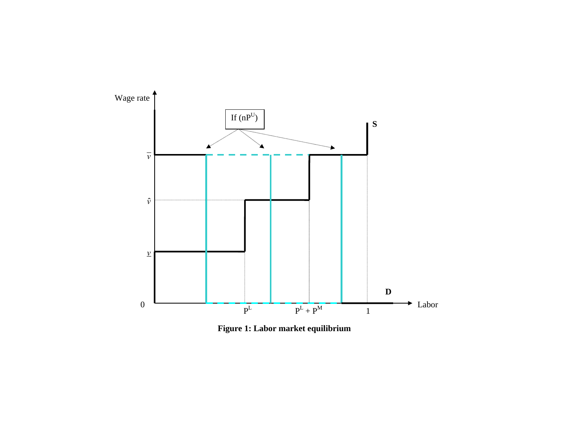

**Figure 1: Labor market equilibrium**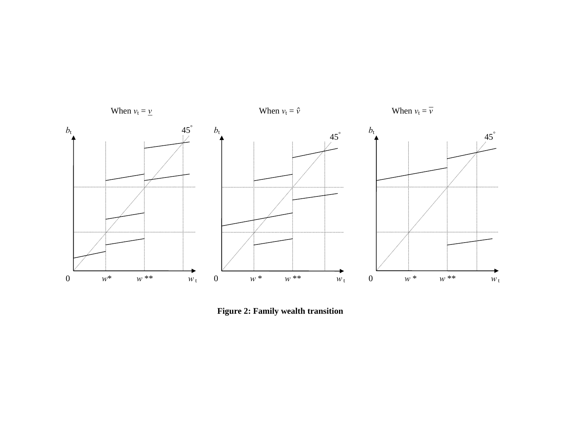

**Figure 2: Family wealth transition**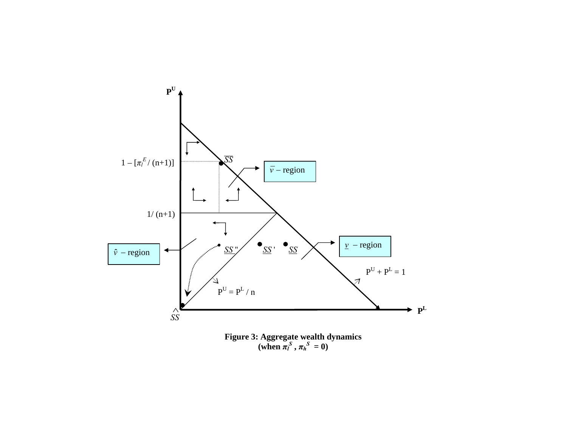

 $(\text{when } \pi_l^S, \pi_h^S = 0)$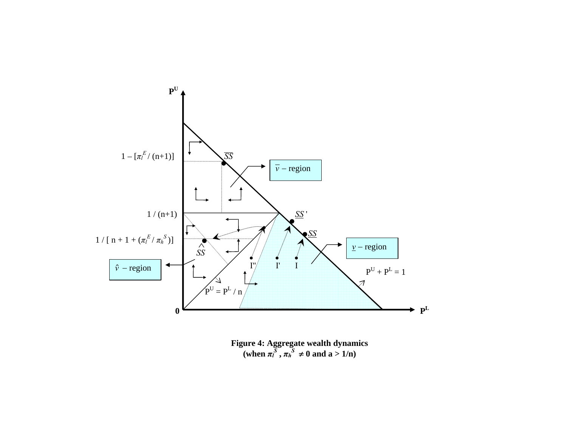

**Figure 4: Aggregate wealth dynamics**   $(\text{when } \pi_l^S, \pi_h^S \neq 0 \text{ and } a > 1/n)$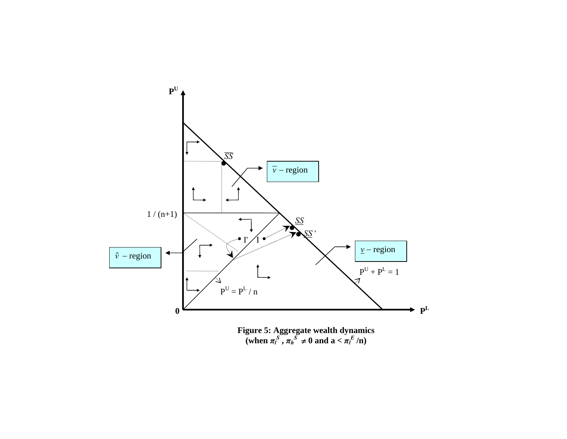

 $(\text{when } \pi_l^S, \pi_h^S \neq 0 \text{ and } \mathbf{a} < \pi_l^E / \mathbf{n})$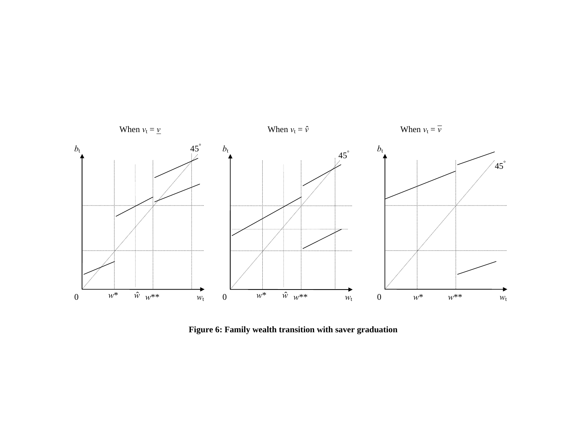

**Figure 6: Family wealth transition with saver graduation**